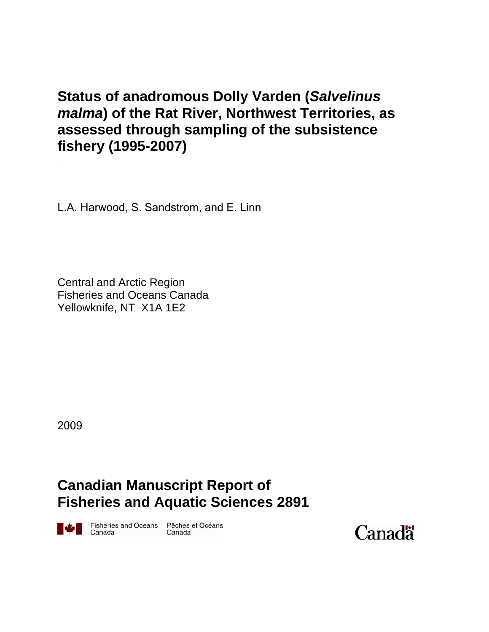# **Status of anadromous Dolly Varden (***Salvelinus malma***) of the Rat River, Northwest Territories, as assessed through sampling of the subsistence fishery (1995-2007)**

L.A. Harwood, S. Sandstrom, and E. Linn

Central and Arctic Region Fisheries and Oceans Canada Yellowknife, NT X1A 1E2

2009

# **Canadian Manuscript Report of Fisheries and Aquatic Sciences 2891**

Fisheries and Oceans Pêches et Océans Canada

Canada

Canadä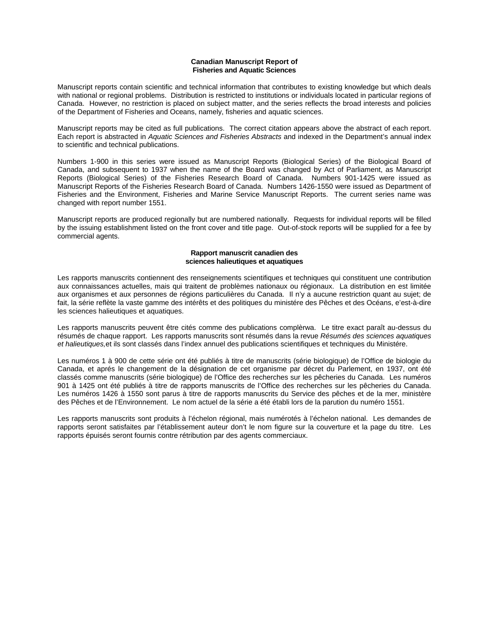#### **Canadian Manuscript Report of Fisheries and Aquatic Sciences**

Manuscript reports contain scientific and technical information that contributes to existing knowledge but which deals with national or regional problems. Distribution is restricted to institutions or individuals located in particular regions of Canada. However, no restriction is placed on subject matter, and the series reflects the broad interests and policies of the Department of Fisheries and Oceans, namely, fisheries and aquatic sciences.

Manuscript reports may be cited as full publications. The correct citation appears above the abstract of each report. Each report is abstracted in *Aquatic Sciences and Fisheries Abstracts* and indexed in the Department's annual index to scientific and technical publications.

Numbers 1-900 in this series were issued as Manuscript Reports (Biological Series) of the Biological Board of Canada, and subsequent to 1937 when the name of the Board was changed by Act of Parliament, as Manuscript Reports (Biological Series) of the Fisheries Research Board of Canada. Numbers 901-1425 were issued as Manuscript Reports of the Fisheries Research Board of Canada. Numbers 1426-1550 were issued as Department of Fisheries and the Environment, Fisheries and Marine Service Manuscript Reports. The current series name was changed with report number 1551.

Manuscript reports are produced regionally but are numbered nationally. Requests for individual reports will be filled by the issuing establishment listed on the front cover and title page. Out-of-stock reports will be supplied for a fee by commercial agents.

#### **Rapport manuscrit canadien des sciences halieutiques et aquatiques**

Les rapports manuscrits contiennent des renseignements scientifiques et techniques qui constituent une contribution aux connaissances actuelles, mais qui traitent de problèmes nationaux ou régionaux. La distribution en est limitée aux organismes et aux personnes de régions particulières du Canada. Il n'y a aucune restriction quant au sujet; de fait, la série reflète la vaste gamme des intérêts et des politiques du ministére des Pêches et des Océans, e'est-à-dire les sciences halieutiques et aquatiques.

Les rapports manuscrits peuvent être cités comme des publications complèrwa. Le titre exact paraît au-dessus du résumés de chaque rapport. Les rapports manuscrits sont résumés dans la revue *Résumés des sciences aquatiques et halieutiques,*et ils sont classés dans l'index annuel des publications scientifiques et techniques du Ministére.

Les numéros 1 à 900 de cette série ont été publiés à titre de manuscrits (série biologique) de l'Office de biologie du Canada, et aprés le changement de la désignation de cet organisme par décret du Parlement, en 1937, ont été classés comme manuscrits (série biologique) de l'Office des recherches sur les pêcheries du Canada. Les numéros 901 à 1425 ont été publiés à titre de rapports manuscrits de l'Office des recherches sur les pêcheries du Canada. Les numéros 1426 à 1550 sont parus à titre de rapports manuscrits du Service des pêches et de la mer, ministère des Pêches et de l'Environnement. Le nom actuel de la série a été établi lors de la parution du numéro 1551.

Les rapports manuscrits sont produits à l'échelon régional, mais numérotés à l'échelon national. Les demandes de rapports seront satisfaites par l'établissement auteur don't le nom figure sur la couverture et la page du titre. Les rapports épuisés seront fournis contre rétribution par des agents commerciaux.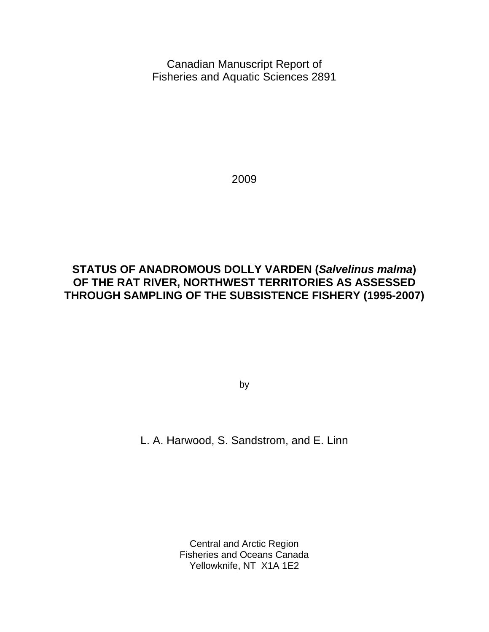Canadian Manuscript Report of Fisheries and Aquatic Sciences 2891

2009

## **STATUS OF ANADROMOUS DOLLY VARDEN (***Salvelinus malma***) OF THE RAT RIVER, NORTHWEST TERRITORIES AS ASSESSED THROUGH SAMPLING OF THE SUBSISTENCE FISHERY (1995-2007)**

by

L. A. Harwood, S. Sandstrom, and E. Linn

Central and Arctic Region Fisheries and Oceans Canada Yellowknife, NT X1A 1E2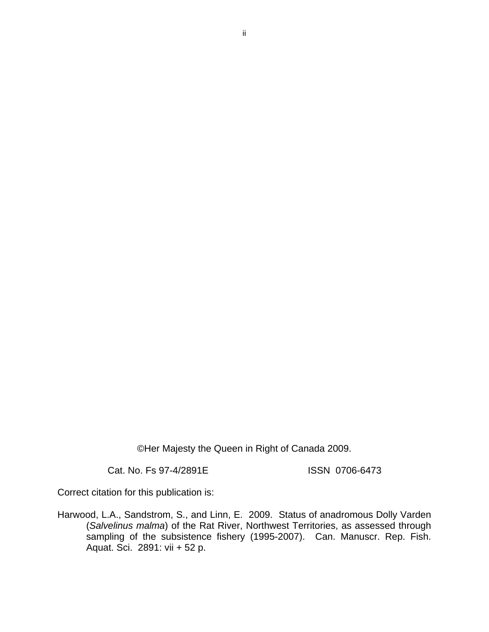©Her Majesty the Queen in Right of Canada 2009.

Cat. No. Fs 97-4/2891E ISSN 0706-6473

Correct citation for this publication is:

Harwood, L.A., Sandstrom, S., and Linn, E. 2009. Status of anadromous Dolly Varden (*Salvelinus malma*) of the Rat River, Northwest Territories, as assessed through sampling of the subsistence fishery (1995-2007). Can. Manuscr. Rep. Fish. Aquat. Sci. 2891: vii + 52 p.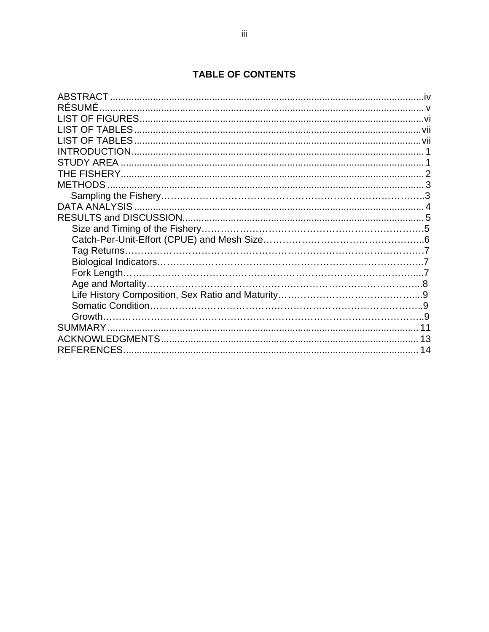## **TABLE OF CONTENTS**

| <b>RÉSUMÉ</b>  |  |
|----------------|--|
|                |  |
|                |  |
|                |  |
|                |  |
|                |  |
|                |  |
|                |  |
| <b>METHODS</b> |  |
|                |  |
|                |  |
|                |  |
|                |  |
|                |  |
|                |  |
|                |  |
|                |  |
|                |  |
|                |  |
|                |  |
| Growth.        |  |
|                |  |
|                |  |
| REFERENCES.    |  |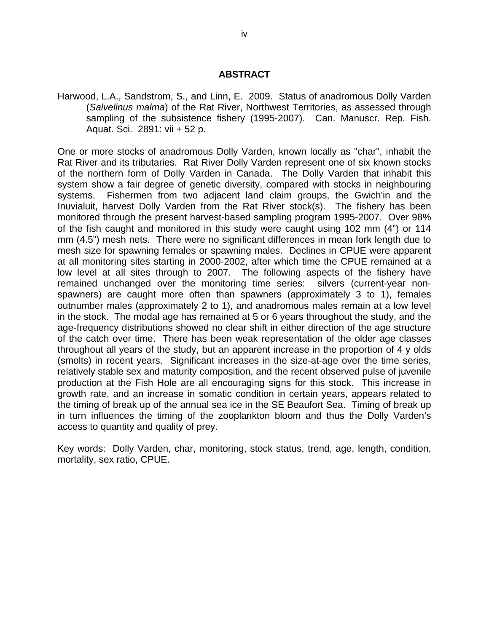#### **ABSTRACT**

Harwood, L.A., Sandstrom, S., and Linn, E. 2009. Status of anadromous Dolly Varden (*Salvelinus malma*) of the Rat River, Northwest Territories, as assessed through sampling of the subsistence fishery (1995-2007). Can. Manuscr. Rep. Fish. Aquat. Sci. 2891: vii + 52 p.

One or more stocks of anadromous Dolly Varden, known locally as "char", inhabit the Rat River and its tributaries. Rat River Dolly Varden represent one of six known stocks of the northern form of Dolly Varden in Canada. The Dolly Varden that inhabit this system show a fair degree of genetic diversity, compared with stocks in neighbouring systems. Fishermen from two adjacent land claim groups, the Gwich'in and the Inuvialuit, harvest Dolly Varden from the Rat River stock(s). The fishery has been monitored through the present harvest-based sampling program 1995-2007. Over 98% of the fish caught and monitored in this study were caught using 102 mm (4") or 114 mm (4.5") mesh nets. There were no significant differences in mean fork length due to mesh size for spawning females or spawning males. Declines in CPUE were apparent at all monitoring sites starting in 2000-2002, after which time the CPUE remained at a low level at all sites through to 2007. The following aspects of the fishery have remained unchanged over the monitoring time series: silvers (current-year nonspawners) are caught more often than spawners (approximately 3 to 1), females outnumber males (approximately 2 to 1), and anadromous males remain at a low level in the stock. The modal age has remained at 5 or 6 years throughout the study, and the age-frequency distributions showed no clear shift in either direction of the age structure of the catch over time. There has been weak representation of the older age classes throughout all years of the study, but an apparent increase in the proportion of 4 y olds (smolts) in recent years. Significant increases in the size-at-age over the time series, relatively stable sex and maturity composition, and the recent observed pulse of juvenile production at the Fish Hole are all encouraging signs for this stock. This increase in growth rate, and an increase in somatic condition in certain years, appears related to the timing of break up of the annual sea ice in the SE Beaufort Sea. Timing of break up in turn influences the timing of the zooplankton bloom and thus the Dolly Varden's access to quantity and quality of prey.

Key words: Dolly Varden, char, monitoring, stock status, trend, age, length, condition, mortality, sex ratio, CPUE.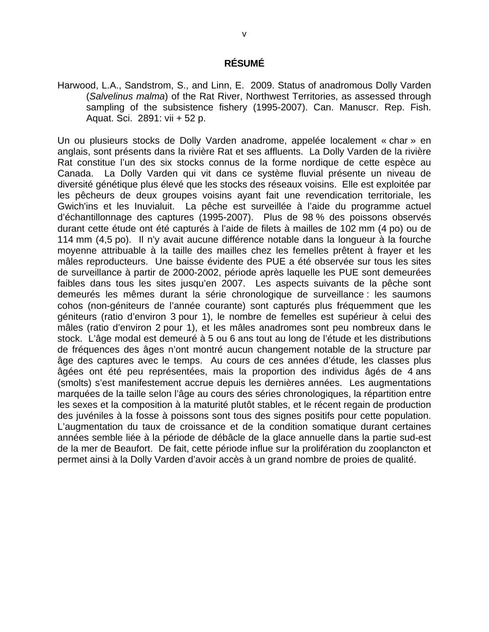#### **RÉSUMÉ**

Harwood, L.A., Sandstrom, S., and Linn, E. 2009. Status of anadromous Dolly Varden (*Salvelinus malma*) of the Rat River, Northwest Territories, as assessed through sampling of the subsistence fishery (1995-2007). Can. Manuscr. Rep. Fish. Aquat. Sci. 2891: vii + 52 p.

Un ou plusieurs stocks de Dolly Varden anadrome, appelée localement « char » en anglais, sont présents dans la rivière Rat et ses affluents. La Dolly Varden de la rivière Rat constitue l'un des six stocks connus de la forme nordique de cette espèce au Canada. La Dolly Varden qui vit dans ce système fluvial présente un niveau de diversité génétique plus élevé que les stocks des réseaux voisins. Elle est exploitée par les pêcheurs de deux groupes voisins ayant fait une revendication territoriale, les Gwich'ins et les Inuvialuit. La pêche est surveillée à l'aide du programme actuel d'échantillonnage des captures (1995-2007). Plus de 98 % des poissons observés durant cette étude ont été capturés à l'aide de filets à mailles de 102 mm (4 po) ou de 114 mm (4,5 po). Il n'y avait aucune différence notable dans la longueur à la fourche moyenne attribuable à la taille des mailles chez les femelles prêtent à frayer et les mâles reproducteurs. Une baisse évidente des PUE a été observée sur tous les sites de surveillance à partir de 2000-2002, période après laquelle les PUE sont demeurées faibles dans tous les sites jusqu'en 2007. Les aspects suivants de la pêche sont demeurés les mêmes durant la série chronologique de surveillance : les saumons cohos (non-géniteurs de l'année courante) sont capturés plus fréquemment que les géniteurs (ratio d'environ 3 pour 1), le nombre de femelles est supérieur à celui des mâles (ratio d'environ 2 pour 1), et les mâles anadromes sont peu nombreux dans le stock. L'âge modal est demeuré à 5 ou 6 ans tout au long de l'étude et les distributions de fréquences des âges n'ont montré aucun changement notable de la structure par âge des captures avec le temps. Au cours de ces années d'étude, les classes plus âgées ont été peu représentées, mais la proportion des individus âgés de 4 ans (smolts) s'est manifestement accrue depuis les dernières années. Les augmentations marquées de la taille selon l'âge au cours des séries chronologiques, la répartition entre les sexes et la composition à la maturité plutôt stables, et le récent regain de production des juvéniles à la fosse à poissons sont tous des signes positifs pour cette population. L'augmentation du taux de croissance et de la condition somatique durant certaines années semble liée à la période de débâcle de la glace annuelle dans la partie sud-est de la mer de Beaufort. De fait, cette période influe sur la prolifération du zooplancton et permet ainsi à la Dolly Varden d'avoir accès à un grand nombre de proies de qualité.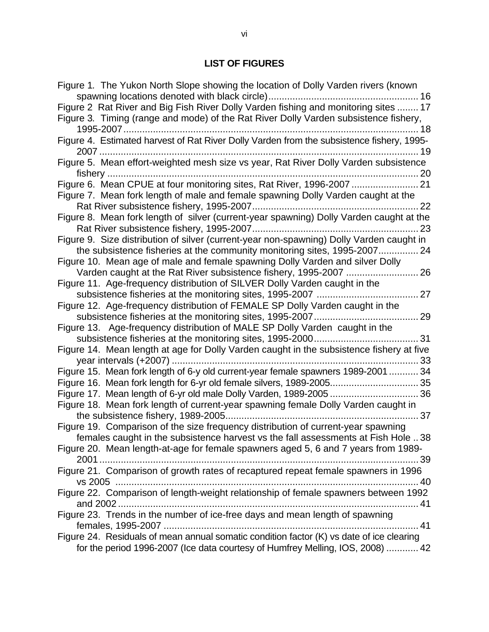## **LIST OF FIGURES**

| Figure 1. The Yukon North Slope showing the location of Dolly Varden rivers (known        |
|-------------------------------------------------------------------------------------------|
|                                                                                           |
| Figure 2 Rat River and Big Fish River Dolly Varden fishing and monitoring sites  17       |
| Figure 3. Timing (range and mode) of the Rat River Dolly Varden subsistence fishery,      |
|                                                                                           |
| Figure 4. Estimated harvest of Rat River Dolly Varden from the subsistence fishery, 1995- |
| 2007                                                                                      |
| Figure 5. Mean effort-weighted mesh size vs year, Rat River Dolly Varden subsistence      |
|                                                                                           |
| Figure 6. Mean CPUE at four monitoring sites, Rat River, 1996-2007  21                    |
|                                                                                           |
| Figure 7. Mean fork length of male and female spawning Dolly Varden caught at the         |
|                                                                                           |
| Figure 8. Mean fork length of silver (current-year spawning) Dolly Varden caught at the   |
|                                                                                           |
| Figure 9. Size distribution of silver (current-year non-spawning) Dolly Varden caught in  |
| the subsistence fisheries at the community monitoring sites, 1995-2007 24                 |
| Figure 10. Mean age of male and female spawning Dolly Varden and silver Dolly             |
| Varden caught at the Rat River subsistence fishery, 1995-2007  26                         |
| Figure 11. Age-frequency distribution of SILVER Dolly Varden caught in the                |
|                                                                                           |
| Figure 12. Age-frequency distribution of FEMALE SP Dolly Varden caught in the             |
|                                                                                           |
| Figure 13. Age-frequency distribution of MALE SP Dolly Varden caught in the               |
|                                                                                           |
| Figure 14. Mean length at age for Dolly Varden caught in the subsistence fishery at five  |
|                                                                                           |
| Figure 15. Mean fork length of 6-y old current-year female spawners 1989-200134           |
| Figure 16. Mean fork length for 6-yr old female silvers, 1989-2005 35                     |
|                                                                                           |
| Figure 18. Mean fork length of current-year spawning female Dolly Varden caught in        |
|                                                                                           |
| Figure 19. Comparison of the size frequency distribution of current-year spawning         |
|                                                                                           |
| females caught in the subsistence harvest vs the fall assessments at Fish Hole<br>38      |
| Figure 20. Mean length-at-age for female spawners aged 5, 6 and 7 years from 1989-        |
|                                                                                           |
| Figure 21. Comparison of growth rates of recaptured repeat female spawners in 1996        |
|                                                                                           |
| Figure 22. Comparison of length-weight relationship of female spawners between 1992       |
|                                                                                           |
| Figure 23. Trends in the number of ice-free days and mean length of spawning              |
|                                                                                           |
| Figure 24. Residuals of mean annual somatic condition factor (K) vs date of ice clearing  |
| for the period 1996-2007 (Ice data courtesy of Humfrey Melling, IOS, 2008)  42            |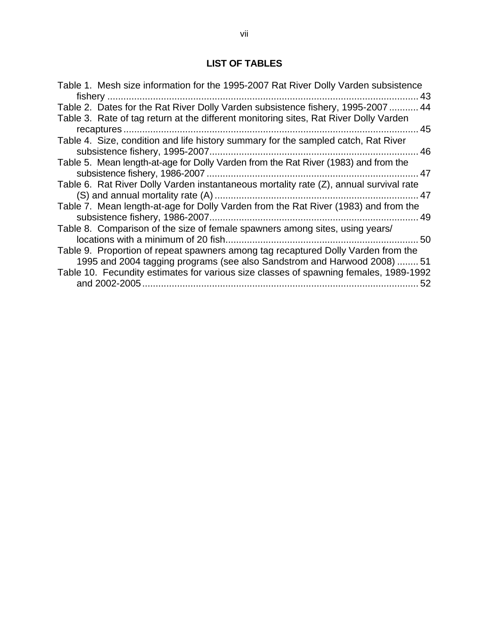## **LIST OF TABLES**

| Table 1. Mesh size information for the 1995-2007 Rat River Dolly Varden subsistence    |
|----------------------------------------------------------------------------------------|
| 43                                                                                     |
| Table 2. Dates for the Rat River Dolly Varden subsistence fishery, 1995-2007  44       |
| Table 3. Rate of tag return at the different monitoring sites, Rat River Dolly Varden  |
| . 45                                                                                   |
| Table 4. Size, condition and life history summary for the sampled catch, Rat River     |
|                                                                                        |
| Table 5. Mean length-at-age for Dolly Varden from the Rat River (1983) and from the    |
|                                                                                        |
| Table 6. Rat River Dolly Varden instantaneous mortality rate (Z), annual survival rate |
|                                                                                        |
| Table 7. Mean length-at-age for Dolly Varden from the Rat River (1983) and from the    |
| 49                                                                                     |
| Table 8. Comparison of the size of female spawners among sites, using years/           |
|                                                                                        |
| Table 9. Proportion of repeat spawners among tag recaptured Dolly Varden from the      |
| 1995 and 2004 tagging programs (see also Sandstrom and Harwood 2008)  51               |
| Table 10. Fecundity estimates for various size classes of spawning females, 1989-1992  |
| 52                                                                                     |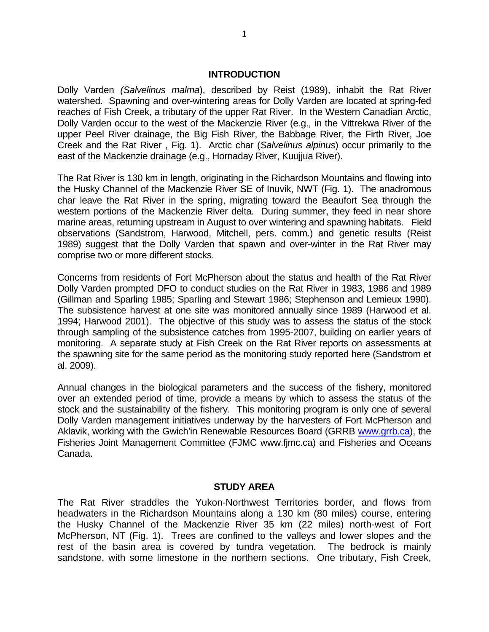#### **INTRODUCTION**

Dolly Varden *(Salvelinus malma*), described by Reist (1989), inhabit the Rat River watershed. Spawning and over-wintering areas for Dolly Varden are located at spring-fed reaches of Fish Creek, a tributary of the upper Rat River. In the Western Canadian Arctic, Dolly Varden occur to the west of the Mackenzie River (e.g., in the Vittrekwa River of the upper Peel River drainage, the Big Fish River, the Babbage River, the Firth River, Joe Creek and the Rat River , Fig. 1). Arctic char (*Salvelinus alpinus*) occur primarily to the east of the Mackenzie drainage (e.g., Hornaday River, Kuujjua River).

The Rat River is 130 km in length, originating in the Richardson Mountains and flowing into the Husky Channel of the Mackenzie River SE of Inuvik, NWT (Fig. 1). The anadromous char leave the Rat River in the spring, migrating toward the Beaufort Sea through the western portions of the Mackenzie River delta. During summer, they feed in near shore marine areas, returning upstream in August to over wintering and spawning habitats. Field observations (Sandstrom, Harwood, Mitchell, pers. comm.) and genetic results (Reist 1989) suggest that the Dolly Varden that spawn and over-winter in the Rat River may comprise two or more different stocks.

Concerns from residents of Fort McPherson about the status and health of the Rat River Dolly Varden prompted DFO to conduct studies on the Rat River in 1983, 1986 and 1989 (Gillman and Sparling 1985; Sparling and Stewart 1986; Stephenson and Lemieux 1990). The subsistence harvest at one site was monitored annually since 1989 (Harwood et al. 1994; Harwood 2001). The objective of this study was to assess the status of the stock through sampling of the subsistence catches from 1995-2007, building on earlier years of monitoring. A separate study at Fish Creek on the Rat River reports on assessments at the spawning site for the same period as the monitoring study reported here (Sandstrom et al. 2009).

Annual changes in the biological parameters and the success of the fishery, monitored over an extended period of time, provide a means by which to assess the status of the stock and the sustainability of the fishery. This monitoring program is only one of several Dolly Varden management initiatives underway by the harvesters of Fort McPherson and Aklavik, working with the Gwich'in Renewable Resources Board (GRRB www.grrb.ca), the Fisheries Joint Management Committee (FJMC www.fjmc.ca) and Fisheries and Oceans Canada.

#### **STUDY AREA**

The Rat River straddles the Yukon-Northwest Territories border, and flows from headwaters in the Richardson Mountains along a 130 km (80 miles) course, entering the Husky Channel of the Mackenzie River 35 km (22 miles) north-west of Fort McPherson, NT (Fig. 1). Trees are confined to the valleys and lower slopes and the rest of the basin area is covered by tundra vegetation. The bedrock is mainly sandstone, with some limestone in the northern sections. One tributary, Fish Creek,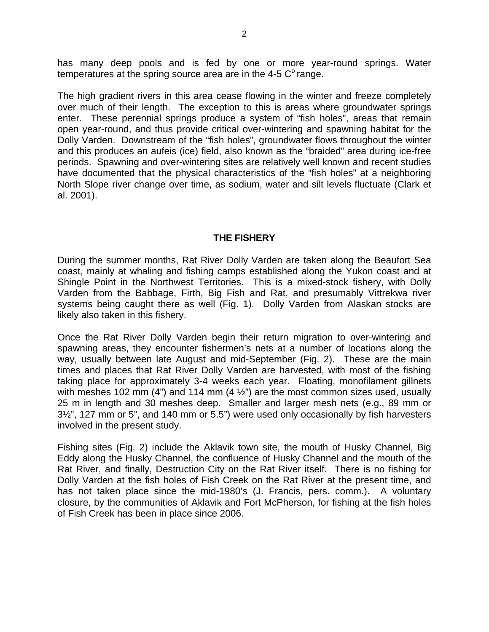has many deep pools and is fed by one or more year-round springs. Water temperatures at the spring source area are in the 4-5  $C^{\circ}$  range.

The high gradient rivers in this area cease flowing in the winter and freeze completely over much of their length. The exception to this is areas where groundwater springs enter. These perennial springs produce a system of "fish holes", areas that remain open year-round, and thus provide critical over-wintering and spawning habitat for the Dolly Varden. Downstream of the "fish holes", groundwater flows throughout the winter and this produces an aufeis (ice) field, also known as the "braided" area during ice-free periods. Spawning and over-wintering sites are relatively well known and recent studies have documented that the physical characteristics of the "fish holes" at a neighboring North Slope river change over time, as sodium, water and silt levels fluctuate (Clark et al. 2001).

#### **THE FISHERY**

During the summer months, Rat River Dolly Varden are taken along the Beaufort Sea coast, mainly at whaling and fishing camps established along the Yukon coast and at Shingle Point in the Northwest Territories. This is a mixed-stock fishery, with Dolly Varden from the Babbage, Firth, Big Fish and Rat, and presumably Vittrekwa river systems being caught there as well (Fig. 1). Dolly Varden from Alaskan stocks are likely also taken in this fishery.

Once the Rat River Dolly Varden begin their return migration to over-wintering and spawning areas, they encounter fishermen's nets at a number of locations along the way, usually between late August and mid-September (Fig. 2). These are the main times and places that Rat River Dolly Varden are harvested, with most of the fishing taking place for approximately 3-4 weeks each year. Floating, monofilament gillnets with meshes 102 mm (4") and 114 mm (4 $\frac{1}{2}$ ") are the most common sizes used, usually 25 m in length and 30 meshes deep. Smaller and larger mesh nets (e.g., 89 mm or 3½", 127 mm or 5", and 140 mm or 5.5") were used only occasionally by fish harvesters involved in the present study.

Fishing sites (Fig. 2) include the Aklavik town site, the mouth of Husky Channel, Big Eddy along the Husky Channel, the confluence of Husky Channel and the mouth of the Rat River, and finally, Destruction City on the Rat River itself. There is no fishing for Dolly Varden at the fish holes of Fish Creek on the Rat River at the present time, and has not taken place since the mid-1980's (J. Francis, pers. comm.). A voluntary closure, by the communities of Aklavik and Fort McPherson, for fishing at the fish holes of Fish Creek has been in place since 2006.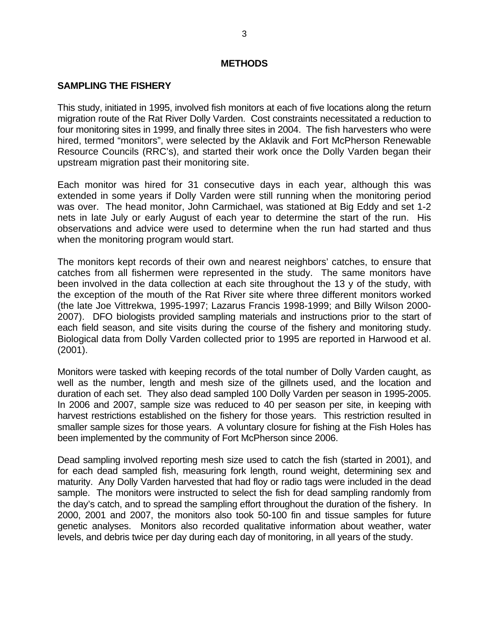#### **METHODS**

#### **SAMPLING THE FISHERY**

This study, initiated in 1995, involved fish monitors at each of five locations along the return migration route of the Rat River Dolly Varden. Cost constraints necessitated a reduction to four monitoring sites in 1999, and finally three sites in 2004. The fish harvesters who were hired, termed "monitors", were selected by the Aklavik and Fort McPherson Renewable Resource Councils (RRC's), and started their work once the Dolly Varden began their upstream migration past their monitoring site.

Each monitor was hired for 31 consecutive days in each year, although this was extended in some years if Dolly Varden were still running when the monitoring period was over. The head monitor, John Carmichael, was stationed at Big Eddy and set 1-2 nets in late July or early August of each year to determine the start of the run. His observations and advice were used to determine when the run had started and thus when the monitoring program would start.

The monitors kept records of their own and nearest neighbors' catches, to ensure that catches from all fishermen were represented in the study. The same monitors have been involved in the data collection at each site throughout the 13 y of the study, with the exception of the mouth of the Rat River site where three different monitors worked (the late Joe Vittrekwa, 1995-1997; Lazarus Francis 1998-1999; and Billy Wilson 2000- 2007). DFO biologists provided sampling materials and instructions prior to the start of each field season, and site visits during the course of the fishery and monitoring study. Biological data from Dolly Varden collected prior to 1995 are reported in Harwood et al. (2001).

Monitors were tasked with keeping records of the total number of Dolly Varden caught, as well as the number, length and mesh size of the gillnets used, and the location and duration of each set. They also dead sampled 100 Dolly Varden per season in 1995-2005. In 2006 and 2007, sample size was reduced to 40 per season per site, in keeping with harvest restrictions established on the fishery for those years. This restriction resulted in smaller sample sizes for those years. A voluntary closure for fishing at the Fish Holes has been implemented by the community of Fort McPherson since 2006.

Dead sampling involved reporting mesh size used to catch the fish (started in 2001), and for each dead sampled fish, measuring fork length, round weight, determining sex and maturity. Any Dolly Varden harvested that had floy or radio tags were included in the dead sample. The monitors were instructed to select the fish for dead sampling randomly from the day's catch, and to spread the sampling effort throughout the duration of the fishery. In 2000, 2001 and 2007, the monitors also took 50-100 fin and tissue samples for future genetic analyses. Monitors also recorded qualitative information about weather, water levels, and debris twice per day during each day of monitoring, in all years of the study.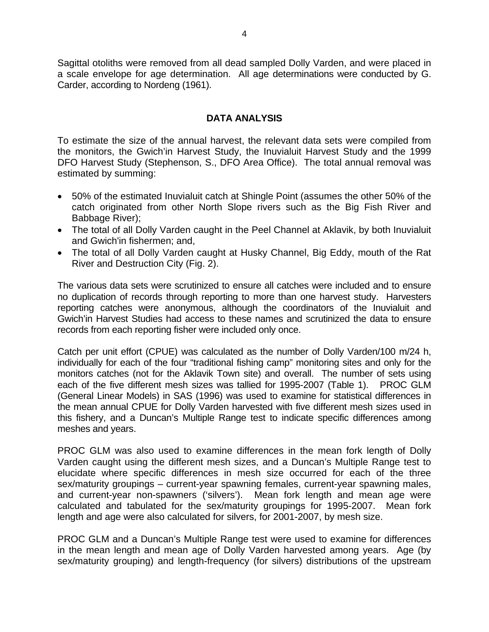Sagittal otoliths were removed from all dead sampled Dolly Varden, and were placed in a scale envelope for age determination. All age determinations were conducted by G. Carder, according to Nordeng (1961).

#### **DATA ANALYSIS**

To estimate the size of the annual harvest, the relevant data sets were compiled from the monitors, the Gwich'in Harvest Study, the Inuvialuit Harvest Study and the 1999 DFO Harvest Study (Stephenson, S., DFO Area Office). The total annual removal was estimated by summing:

- 50% of the estimated Inuvialuit catch at Shingle Point (assumes the other 50% of the catch originated from other North Slope rivers such as the Big Fish River and Babbage River);
- The total of all Dolly Varden caught in the Peel Channel at Aklavik, by both Inuvialuit and Gwich'in fishermen; and,
- The total of all Dolly Varden caught at Husky Channel, Big Eddy, mouth of the Rat River and Destruction City (Fig. 2).

The various data sets were scrutinized to ensure all catches were included and to ensure no duplication of records through reporting to more than one harvest study. Harvesters reporting catches were anonymous, although the coordinators of the Inuvialuit and Gwich'in Harvest Studies had access to these names and scrutinized the data to ensure records from each reporting fisher were included only once.

Catch per unit effort (CPUE) was calculated as the number of Dolly Varden/100 m/24 h, individually for each of the four "traditional fishing camp" monitoring sites and only for the monitors catches (not for the Aklavik Town site) and overall. The number of sets using each of the five different mesh sizes was tallied for 1995-2007 (Table 1). PROC GLM (General Linear Models) in SAS (1996) was used to examine for statistical differences in the mean annual CPUE for Dolly Varden harvested with five different mesh sizes used in this fishery, and a Duncan's Multiple Range test to indicate specific differences among meshes and years.

PROC GLM was also used to examine differences in the mean fork length of Dolly Varden caught using the different mesh sizes, and a Duncan's Multiple Range test to elucidate where specific differences in mesh size occurred for each of the three sex/maturity groupings – current-year spawning females, current-year spawning males, and current-year non-spawners ('silvers'). Mean fork length and mean age were calculated and tabulated for the sex/maturity groupings for 1995-2007. Mean fork length and age were also calculated for silvers, for 2001-2007, by mesh size.

PROC GLM and a Duncan's Multiple Range test were used to examine for differences in the mean length and mean age of Dolly Varden harvested among years. Age (by sex/maturity grouping) and length-frequency (for silvers) distributions of the upstream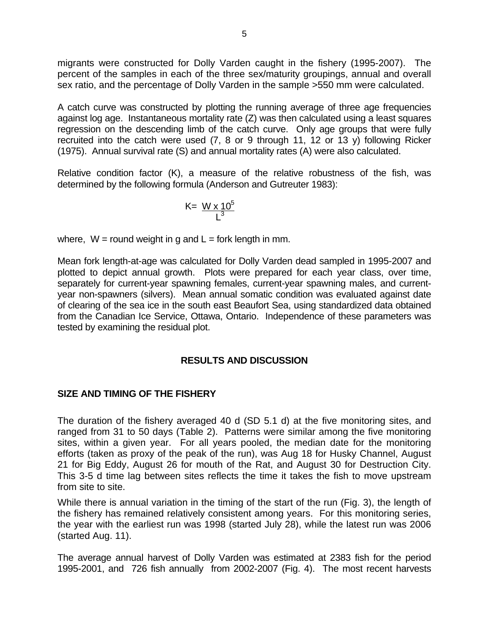migrants were constructed for Dolly Varden caught in the fishery (1995-2007). The percent of the samples in each of the three sex/maturity groupings, annual and overall sex ratio, and the percentage of Dolly Varden in the sample >550 mm were calculated.

A catch curve was constructed by plotting the running average of three age frequencies against log age. Instantaneous mortality rate (Z) was then calculated using a least squares regression on the descending limb of the catch curve. Only age groups that were fully recruited into the catch were used (7, 8 or 9 through 11, 12 or 13 y) following Ricker (1975). Annual survival rate (S) and annual mortality rates (A) were also calculated.

Relative condition factor (K), a measure of the relative robustness of the fish, was determined by the following formula (Anderson and Gutreuter 1983):

$$
K = \frac{W \times 10^5}{L^3}
$$

where,  $W =$  round weight in g and  $L =$  fork length in mm.

Mean fork length-at-age was calculated for Dolly Varden dead sampled in 1995-2007 and plotted to depict annual growth. Plots were prepared for each year class, over time, separately for current-year spawning females, current-year spawning males, and currentyear non-spawners (silvers). Mean annual somatic condition was evaluated against date of clearing of the sea ice in the south east Beaufort Sea, using standardized data obtained from the Canadian Ice Service, Ottawa, Ontario. Independence of these parameters was tested by examining the residual plot.

#### **RESULTS AND DISCUSSION**

#### **SIZE AND TIMING OF THE FISHERY**

The duration of the fishery averaged 40 d (SD 5.1 d) at the five monitoring sites, and ranged from 31 to 50 days (Table 2). Patterns were similar among the five monitoring sites, within a given year. For all years pooled, the median date for the monitoring efforts (taken as proxy of the peak of the run), was Aug 18 for Husky Channel, August 21 for Big Eddy, August 26 for mouth of the Rat, and August 30 for Destruction City. This 3-5 d time lag between sites reflects the time it takes the fish to move upstream from site to site.

While there is annual variation in the timing of the start of the run (Fig. 3), the length of the fishery has remained relatively consistent among years. For this monitoring series, the year with the earliest run was 1998 (started July 28), while the latest run was 2006 (started Aug. 11).

The average annual harvest of Dolly Varden was estimated at 2383 fish for the period 1995-2001, and 726 fish annually from 2002-2007 (Fig. 4). The most recent harvests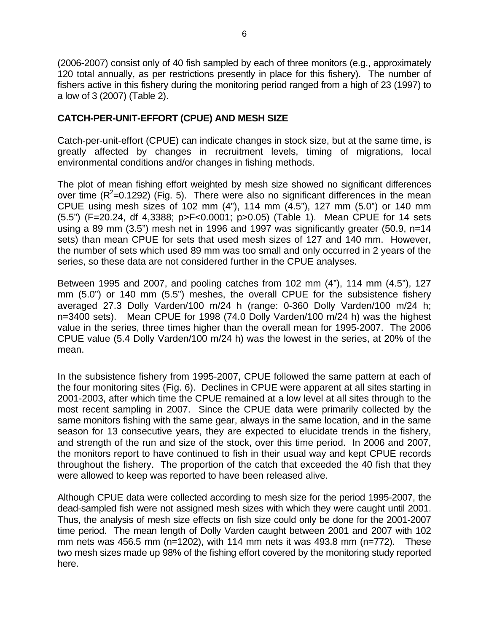(2006-2007) consist only of 40 fish sampled by each of three monitors (e.g., approximately 120 total annually, as per restrictions presently in place for this fishery). The number of fishers active in this fishery during the monitoring period ranged from a high of 23 (1997) to a low of 3 (2007) (Table 2).

#### **CATCH-PER-UNIT-EFFORT (CPUE) AND MESH SIZE**

Catch-per-unit-effort (CPUE) can indicate changes in stock size, but at the same time, is greatly affected by changes in recruitment levels, timing of migrations, local environmental conditions and/or changes in fishing methods.

The plot of mean fishing effort weighted by mesh size showed no significant differences over time  $(R^2=0.1292)$  (Fig. 5). There were also no significant differences in the mean CPUE using mesh sizes of 102 mm (4"), 114 mm (4.5"), 127 mm (5.0") or 140 mm (5.5") (F=20.24, df 4,3388; p>F<0.0001; p>0.05) (Table 1). Mean CPUE for 14 sets using a 89 mm (3.5") mesh net in 1996 and 1997 was significantly greater (50.9, n=14 sets) than mean CPUE for sets that used mesh sizes of 127 and 140 mm. However, the number of sets which used 89 mm was too small and only occurred in 2 years of the series, so these data are not considered further in the CPUE analyses.

Between 1995 and 2007, and pooling catches from 102 mm (4"), 114 mm (4.5"), 127 mm (5.0") or 140 mm (5.5") meshes, the overall CPUE for the subsistence fishery averaged 27.3 Dolly Varden/100 m/24 h (range: 0-360 Dolly Varden/100 m/24 h; n=3400 sets). Mean CPUE for 1998 (74.0 Dolly Varden/100 m/24 h) was the highest value in the series, three times higher than the overall mean for 1995-2007. The 2006 CPUE value (5.4 Dolly Varden/100 m/24 h) was the lowest in the series, at 20% of the mean.

In the subsistence fishery from 1995-2007, CPUE followed the same pattern at each of the four monitoring sites (Fig. 6). Declines in CPUE were apparent at all sites starting in 2001-2003, after which time the CPUE remained at a low level at all sites through to the most recent sampling in 2007. Since the CPUE data were primarily collected by the same monitors fishing with the same gear, always in the same location, and in the same season for 13 consecutive years, they are expected to elucidate trends in the fishery, and strength of the run and size of the stock, over this time period. In 2006 and 2007, the monitors report to have continued to fish in their usual way and kept CPUE records throughout the fishery. The proportion of the catch that exceeded the 40 fish that they were allowed to keep was reported to have been released alive.

Although CPUE data were collected according to mesh size for the period 1995-2007, the dead-sampled fish were not assigned mesh sizes with which they were caught until 2001. Thus, the analysis of mesh size effects on fish size could only be done for the 2001-2007 time period. The mean length of Dolly Varden caught between 2001 and 2007 with 102 mm nets was 456.5 mm ( $n=1202$ ), with 114 mm nets it was 493.8 mm ( $n=772$ ). These two mesh sizes made up 98% of the fishing effort covered by the monitoring study reported here.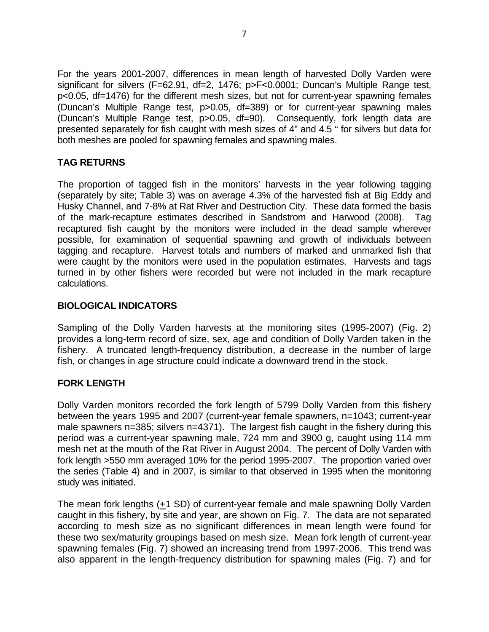For the years 2001-2007, differences in mean length of harvested Dolly Varden were significant for silvers (F=62.91, df=2, 1476; p>F<0.0001; Duncan's Multiple Range test, p<0.05, df=1476) for the different mesh sizes, but not for current-year spawning females (Duncan's Multiple Range test, p>0.05, df=389) or for current-year spawning males (Duncan's Multiple Range test, p>0.05, df=90). Consequently, fork length data are presented separately for fish caught with mesh sizes of 4" and 4.5 " for silvers but data for both meshes are pooled for spawning females and spawning males.

### **TAG RETURNS**

The proportion of tagged fish in the monitors' harvests in the year following tagging (separately by site; Table 3) was on average 4.3% of the harvested fish at Big Eddy and Husky Channel, and 7-8% at Rat River and Destruction City. These data formed the basis of the mark-recapture estimates described in Sandstrom and Harwood (2008). Tag recaptured fish caught by the monitors were included in the dead sample wherever possible, for examination of sequential spawning and growth of individuals between tagging and recapture. Harvest totals and numbers of marked and unmarked fish that were caught by the monitors were used in the population estimates. Harvests and tags turned in by other fishers were recorded but were not included in the mark recapture calculations.

#### **BIOLOGICAL INDICATORS**

Sampling of the Dolly Varden harvests at the monitoring sites (1995-2007) (Fig. 2) provides a long-term record of size, sex, age and condition of Dolly Varden taken in the fishery. A truncated length-frequency distribution, a decrease in the number of large fish, or changes in age structure could indicate a downward trend in the stock.

### **FORK LENGTH**

Dolly Varden monitors recorded the fork length of 5799 Dolly Varden from this fishery between the years 1995 and 2007 (current-year female spawners, n=1043; current-year male spawners n=385; silvers n=4371). The largest fish caught in the fishery during this period was a current-year spawning male, 724 mm and 3900 g, caught using 114 mm mesh net at the mouth of the Rat River in August 2004. The percent of Dolly Varden with fork length >550 mm averaged 10% for the period 1995-2007. The proportion varied over the series (Table 4) and in 2007, is similar to that observed in 1995 when the monitoring study was initiated.

The mean fork lengths  $(+1$  SD) of current-year female and male spawning Dolly Varden caught in this fishery, by site and year, are shown on Fig. 7. The data are not separated according to mesh size as no significant differences in mean length were found for these two sex/maturity groupings based on mesh size. Mean fork length of current-year spawning females (Fig. 7) showed an increasing trend from 1997-2006. This trend was also apparent in the length-frequency distribution for spawning males (Fig. 7) and for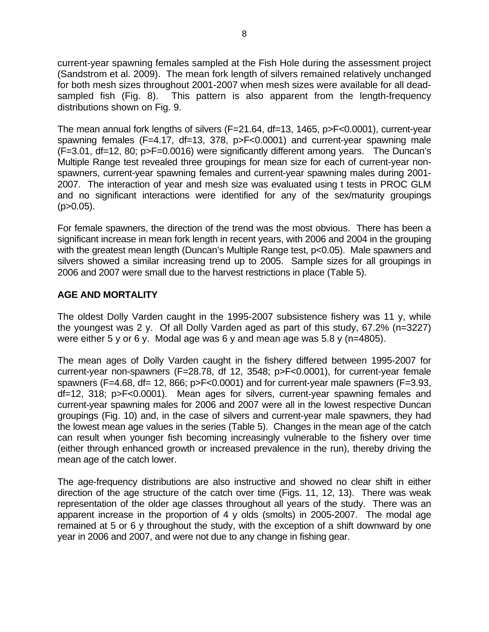current-year spawning females sampled at the Fish Hole during the assessment project (Sandstrom et al. 2009). The mean fork length of silvers remained relatively unchanged for both mesh sizes throughout 2001-2007 when mesh sizes were available for all deadsampled fish (Fig. 8). This pattern is also apparent from the length-frequency distributions shown on Fig. 9.

The mean annual fork lengths of silvers (F=21.64, df=13, 1465, p>F<0.0001), current-year spawning females (F=4.17, df=13, 378, p>F<0.0001) and current-year spawning male (F=3.01, df=12, 80; p>F=0.0016) were significantly different among years. The Duncan's Multiple Range test revealed three groupings for mean size for each of current-year nonspawners, current-year spawning females and current-year spawning males during 2001- 2007. The interaction of year and mesh size was evaluated using t tests in PROC GLM and no significant interactions were identified for any of the sex/maturity groupings  $(p>0.05)$ .

For female spawners, the direction of the trend was the most obvious. There has been a significant increase in mean fork length in recent years, with 2006 and 2004 in the grouping with the greatest mean length (Duncan's Multiple Range test, p<0.05). Male spawners and silvers showed a similar increasing trend up to 2005. Sample sizes for all groupings in 2006 and 2007 were small due to the harvest restrictions in place (Table 5).

### **AGE AND MORTALITY**

The oldest Dolly Varden caught in the 1995-2007 subsistence fishery was 11 y, while the youngest was 2 y. Of all Dolly Varden aged as part of this study, 67.2% (n=3227) were either 5 y or 6 y. Modal age was 6 y and mean age was 5.8 y (n=4805).

The mean ages of Dolly Varden caught in the fishery differed between 1995-2007 for current-year non-spawners (F=28.78, df 12, 3548; p>F<0.0001), for current-year female spawners ( $F=4.68$ , df= 12, 866;  $p>F<0.0001$ ) and for current-year male spawners ( $F=3.93$ . df=12, 318; p>F<0.0001). Mean ages for silvers, current-year spawning females and current-year spawning males for 2006 and 2007 were all in the lowest respective Duncan groupings (Fig. 10) and, in the case of silvers and current-year male spawners, they had the lowest mean age values in the series (Table 5). Changes in the mean age of the catch can result when younger fish becoming increasingly vulnerable to the fishery over time (either through enhanced growth or increased prevalence in the run), thereby driving the mean age of the catch lower.

The age-frequency distributions are also instructive and showed no clear shift in either direction of the age structure of the catch over time (Figs. 11, 12, 13). There was weak representation of the older age classes throughout all years of the study. There was an apparent increase in the proportion of 4 y olds (smolts) in 2005-2007. The modal age remained at 5 or 6 y throughout the study, with the exception of a shift downward by one year in 2006 and 2007, and were not due to any change in fishing gear.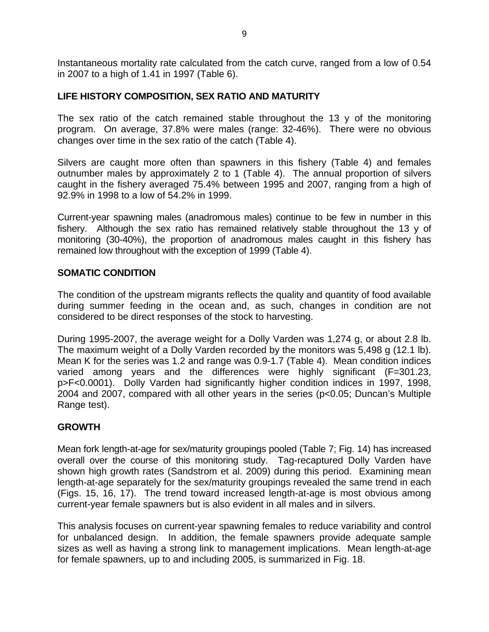Instantaneous mortality rate calculated from the catch curve, ranged from a low of 0.54 in 2007 to a high of 1.41 in 1997 (Table 6).

#### **LIFE HISTORY COMPOSITION, SEX RATIO AND MATURITY**

The sex ratio of the catch remained stable throughout the 13 y of the monitoring program. On average, 37.8% were males (range: 32-46%). There were no obvious changes over time in the sex ratio of the catch (Table 4).

Silvers are caught more often than spawners in this fishery (Table 4) and females outnumber males by approximately 2 to 1 (Table 4). The annual proportion of silvers caught in the fishery averaged 75.4% between 1995 and 2007, ranging from a high of 92.9% in 1998 to a low of 54.2% in 1999.

Current-year spawning males (anadromous males) continue to be few in number in this fishery. Although the sex ratio has remained relatively stable throughout the 13 y of monitoring (30-40%), the proportion of anadromous males caught in this fishery has remained low throughout with the exception of 1999 (Table 4).

#### **SOMATIC CONDITION**

The condition of the upstream migrants reflects the quality and quantity of food available during summer feeding in the ocean and, as such, changes in condition are not considered to be direct responses of the stock to harvesting.

During 1995-2007, the average weight for a Dolly Varden was 1,274 g, or about 2.8 lb. The maximum weight of a Dolly Varden recorded by the monitors was 5,498 g (12.1 lb). Mean K for the series was 1.2 and range was 0.9-1.7 (Table 4). Mean condition indices varied among years and the differences were highly significant (F=301.23, p>F<0.0001). Dolly Varden had significantly higher condition indices in 1997, 1998, 2004 and 2007, compared with all other years in the series (p<0.05; Duncan's Multiple Range test).

### **GROWTH**

Mean fork length-at-age for sex/maturity groupings pooled (Table 7; Fig. 14) has increased overall over the course of this monitoring study. Tag-recaptured Dolly Varden have shown high growth rates (Sandstrom et al. 2009) during this period. Examining mean length-at-age separately for the sex/maturity groupings revealed the same trend in each (Figs. 15, 16, 17). The trend toward increased length-at-age is most obvious among current-year female spawners but is also evident in all males and in silvers.

This analysis focuses on current-year spawning females to reduce variability and control for unbalanced design. In addition, the female spawners provide adequate sample sizes as well as having a strong link to management implications. Mean length-at-age for female spawners, up to and including 2005, is summarized in Fig. 18.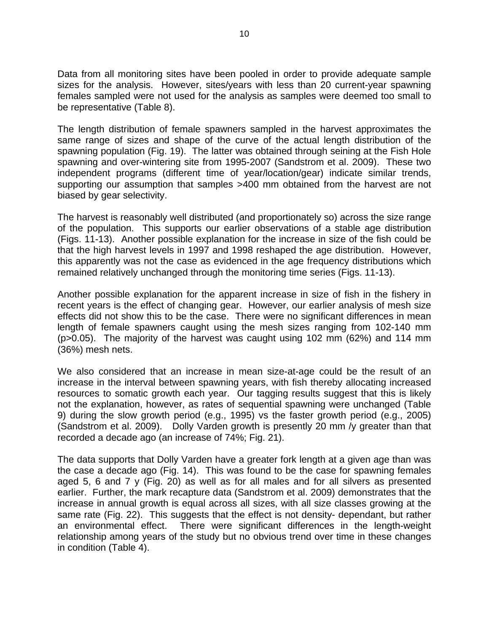Data from all monitoring sites have been pooled in order to provide adequate sample sizes for the analysis. However, sites/years with less than 20 current-year spawning females sampled were not used for the analysis as samples were deemed too small to be representative (Table 8).

The length distribution of female spawners sampled in the harvest approximates the same range of sizes and shape of the curve of the actual length distribution of the spawning population (Fig. 19). The latter was obtained through seining at the Fish Hole spawning and over-wintering site from 1995-2007 (Sandstrom et al. 2009). These two independent programs (different time of year/location/gear) indicate similar trends, supporting our assumption that samples >400 mm obtained from the harvest are not biased by gear selectivity.

The harvest is reasonably well distributed (and proportionately so) across the size range of the population. This supports our earlier observations of a stable age distribution (Figs. 11-13). Another possible explanation for the increase in size of the fish could be that the high harvest levels in 1997 and 1998 reshaped the age distribution. However, this apparently was not the case as evidenced in the age frequency distributions which remained relatively unchanged through the monitoring time series (Figs. 11-13).

Another possible explanation for the apparent increase in size of fish in the fishery in recent years is the effect of changing gear. However, our earlier analysis of mesh size effects did not show this to be the case. There were no significant differences in mean length of female spawners caught using the mesh sizes ranging from 102-140 mm (p>0.05). The majority of the harvest was caught using 102 mm (62%) and 114 mm (36%) mesh nets.

We also considered that an increase in mean size-at-age could be the result of an increase in the interval between spawning years, with fish thereby allocating increased resources to somatic growth each year. Our tagging results suggest that this is likely not the explanation, however, as rates of sequential spawning were unchanged (Table 9) during the slow growth period (e.g., 1995) vs the faster growth period (e.g., 2005) (Sandstrom et al. 2009). Dolly Varden growth is presently 20 mm /y greater than that recorded a decade ago (an increase of 74%; Fig. 21).

The data supports that Dolly Varden have a greater fork length at a given age than was the case a decade ago (Fig. 14). This was found to be the case for spawning females aged 5, 6 and 7 y (Fig. 20) as well as for all males and for all silvers as presented earlier. Further, the mark recapture data (Sandstrom et al. 2009) demonstrates that the increase in annual growth is equal across all sizes, with all size classes growing at the same rate (Fig. 22). This suggests that the effect is not density- dependant, but rather an environmental effect. There were significant differences in the length-weight relationship among years of the study but no obvious trend over time in these changes in condition (Table 4).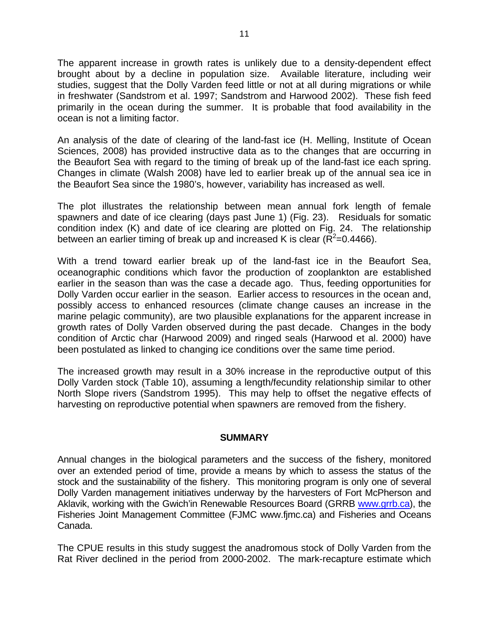The apparent increase in growth rates is unlikely due to a density-dependent effect brought about by a decline in population size. Available literature, including weir studies, suggest that the Dolly Varden feed little or not at all during migrations or while in freshwater (Sandstrom et al. 1997; Sandstrom and Harwood 2002). These fish feed primarily in the ocean during the summer. It is probable that food availability in the ocean is not a limiting factor.

An analysis of the date of clearing of the land-fast ice (H. Melling, Institute of Ocean Sciences, 2008) has provided instructive data as to the changes that are occurring in the Beaufort Sea with regard to the timing of break up of the land-fast ice each spring. Changes in climate (Walsh 2008) have led to earlier break up of the annual sea ice in the Beaufort Sea since the 1980's, however, variability has increased as well.

The plot illustrates the relationship between mean annual fork length of female spawners and date of ice clearing (days past June 1) (Fig. 23). Residuals for somatic condition index (K) and date of ice clearing are plotted on Fig. 24. The relationship between an earlier timing of break up and increased K is clear ( $\overline{R}^2$ =0.4466).

With a trend toward earlier break up of the land-fast ice in the Beaufort Sea, oceanographic conditions which favor the production of zooplankton are established earlier in the season than was the case a decade ago. Thus, feeding opportunities for Dolly Varden occur earlier in the season. Earlier access to resources in the ocean and, possibly access to enhanced resources (climate change causes an increase in the marine pelagic community), are two plausible explanations for the apparent increase in growth rates of Dolly Varden observed during the past decade. Changes in the body condition of Arctic char (Harwood 2009) and ringed seals (Harwood et al. 2000) have been postulated as linked to changing ice conditions over the same time period.

The increased growth may result in a 30% increase in the reproductive output of this Dolly Varden stock (Table 10), assuming a length/fecundity relationship similar to other North Slope rivers (Sandstrom 1995). This may help to offset the negative effects of harvesting on reproductive potential when spawners are removed from the fishery.

#### **SUMMARY**

Annual changes in the biological parameters and the success of the fishery, monitored over an extended period of time, provide a means by which to assess the status of the stock and the sustainability of the fishery. This monitoring program is only one of several Dolly Varden management initiatives underway by the harvesters of Fort McPherson and Aklavik, working with the Gwich'in Renewable Resources Board (GRRB www.grrb.ca), the Fisheries Joint Management Committee (FJMC www.fjmc.ca) and Fisheries and Oceans Canada.

The CPUE results in this study suggest the anadromous stock of Dolly Varden from the Rat River declined in the period from 2000-2002. The mark-recapture estimate which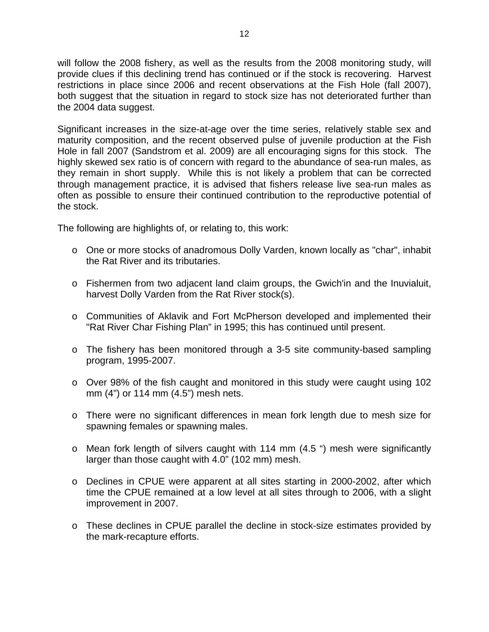will follow the 2008 fishery, as well as the results from the 2008 monitoring study, will provide clues if this declining trend has continued or if the stock is recovering. Harvest restrictions in place since 2006 and recent observations at the Fish Hole (fall 2007), both suggest that the situation in regard to stock size has not deteriorated further than the 2004 data suggest.

Significant increases in the size-at-age over the time series, relatively stable sex and maturity composition, and the recent observed pulse of juvenile production at the Fish Hole in fall 2007 (Sandstrom et al. 2009) are all encouraging signs for this stock. The highly skewed sex ratio is of concern with regard to the abundance of sea-run males, as they remain in short supply. While this is not likely a problem that can be corrected through management practice, it is advised that fishers release live sea-run males as often as possible to ensure their continued contribution to the reproductive potential of the stock.

The following are highlights of, or relating to, this work:

- o One or more stocks of anadromous Dolly Varden, known locally as "char", inhabit the Rat River and its tributaries.
- o Fishermen from two adjacent land claim groups, the Gwich'in and the Inuvialuit, harvest Dolly Varden from the Rat River stock(s).
- o Communities of Aklavik and Fort McPherson developed and implemented their "Rat River Char Fishing Plan" in 1995; this has continued until present.
- $\circ$  The fishery has been monitored through a 3-5 site community-based sampling program, 1995-2007.
- o Over 98% of the fish caught and monitored in this study were caught using 102 mm (4") or 114 mm (4.5") mesh nets.
- o There were no significant differences in mean fork length due to mesh size for spawning females or spawning males.
- o Mean fork length of silvers caught with 114 mm (4.5 ") mesh were significantly larger than those caught with 4.0" (102 mm) mesh.
- o Declines in CPUE were apparent at all sites starting in 2000-2002, after which time the CPUE remained at a low level at all sites through to 2006, with a slight improvement in 2007.
- o These declines in CPUE parallel the decline in stock-size estimates provided by the mark-recapture efforts.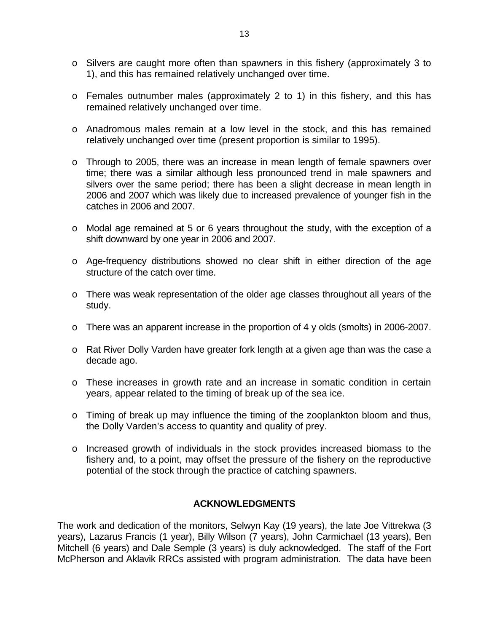- o Silvers are caught more often than spawners in this fishery (approximately 3 to 1), and this has remained relatively unchanged over time.
- o Females outnumber males (approximately 2 to 1) in this fishery, and this has remained relatively unchanged over time.
- o Anadromous males remain at a low level in the stock, and this has remained relatively unchanged over time (present proportion is similar to 1995).
- o Through to 2005, there was an increase in mean length of female spawners over time; there was a similar although less pronounced trend in male spawners and silvers over the same period; there has been a slight decrease in mean length in 2006 and 2007 which was likely due to increased prevalence of younger fish in the catches in 2006 and 2007.
- o Modal age remained at 5 or 6 years throughout the study, with the exception of a shift downward by one year in 2006 and 2007.
- o Age-frequency distributions showed no clear shift in either direction of the age structure of the catch over time.
- o There was weak representation of the older age classes throughout all years of the study.
- o There was an apparent increase in the proportion of 4 y olds (smolts) in 2006-2007.
- o Rat River Dolly Varden have greater fork length at a given age than was the case a decade ago.
- o These increases in growth rate and an increase in somatic condition in certain years, appear related to the timing of break up of the sea ice.
- o Timing of break up may influence the timing of the zooplankton bloom and thus, the Dolly Varden's access to quantity and quality of prey.
- o Increased growth of individuals in the stock provides increased biomass to the fishery and, to a point, may offset the pressure of the fishery on the reproductive potential of the stock through the practice of catching spawners.

#### **ACKNOWLEDGMENTS**

The work and dedication of the monitors, Selwyn Kay (19 years), the late Joe Vittrekwa (3 years), Lazarus Francis (1 year), Billy Wilson (7 years), John Carmichael (13 years), Ben Mitchell (6 years) and Dale Semple (3 years) is duly acknowledged. The staff of the Fort McPherson and Aklavik RRCs assisted with program administration. The data have been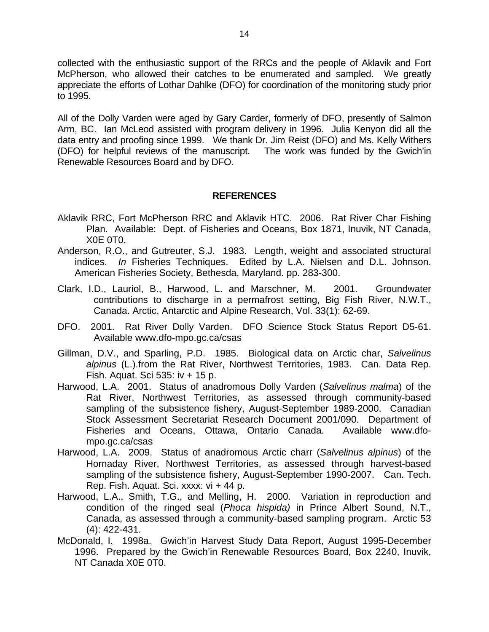collected with the enthusiastic support of the RRCs and the people of Aklavik and Fort McPherson, who allowed their catches to be enumerated and sampled. We greatly appreciate the efforts of Lothar Dahlke (DFO) for coordination of the monitoring study prior to 1995.

All of the Dolly Varden were aged by Gary Carder, formerly of DFO, presently of Salmon Arm, BC. Ian McLeod assisted with program delivery in 1996. Julia Kenyon did all the data entry and proofing since 1999. We thank Dr. Jim Reist (DFO) and Ms. Kelly Withers (DFO) for helpful reviews of the manuscript. The work was funded by the Gwich'in Renewable Resources Board and by DFO.

#### **REFERENCES**

- Aklavik RRC, Fort McPherson RRC and Aklavik HTC. 2006. Rat River Char Fishing Plan. Available: Dept. of Fisheries and Oceans, Box 1871, Inuvik, NT Canada, X0E 0T0.
- Anderson, R.O., and Gutreuter, S.J. 1983. Length, weight and associated structural indices. *In* Fisheries Techniques. Edited by L.A. Nielsen and D.L. Johnson. American Fisheries Society, Bethesda, Maryland. pp. 283-300.
- Clark, I.D., Lauriol, B., Harwood, L. and Marschner, M. 2001. Groundwater contributions to discharge in a permafrost setting, Big Fish River, N.W.T., Canada. Arctic, Antarctic and Alpine Research, Vol. 33(1): 62-69.
- DFO. 2001. Rat River Dolly Varden. DFO Science Stock Status Report D5-61. Available www.dfo-mpo.gc.ca/csas
- Gillman, D.V., and Sparling, P.D. 1985. Biological data on Arctic char, *Salvelinus alpinus* (L.).from the Rat River, Northwest Territories, 1983. Can. Data Rep. Fish. Aquat. Sci 535: iv + 15 p.
- Harwood, L.A. 2001. Status of anadromous Dolly Varden (*Salvelinus malma*) of the Rat River, Northwest Territories, as assessed through community-based sampling of the subsistence fishery, August-September 1989-2000. Canadian Stock Assessment Secretariat Research Document 2001/090. Department of Fisheries and Oceans, Ottawa, Ontario Canada. Available www.dfompo.gc.ca/csas
- Harwood, L.A. 2009. Status of anadromous Arctic charr (*Salvelinus alpinus*) of the Hornaday River, Northwest Territories, as assessed through harvest-based sampling of the subsistence fishery, August-September 1990-2007. Can. Tech. Rep. Fish. Aquat. Sci. xxxx: vi + 44 p.
- Harwood, L.A., Smith, T.G., and Melling, H. 2000. Variation in reproduction and condition of the ringed seal (*Phoca hispida)* in Prince Albert Sound, N.T., Canada, as assessed through a community-based sampling program. Arctic 53 (4): 422-431.
- McDonald, I. 1998a. Gwich'in Harvest Study Data Report, August 1995-December 1996. Prepared by the Gwich'in Renewable Resources Board, Box 2240, Inuvik, NT Canada X0E 0T0.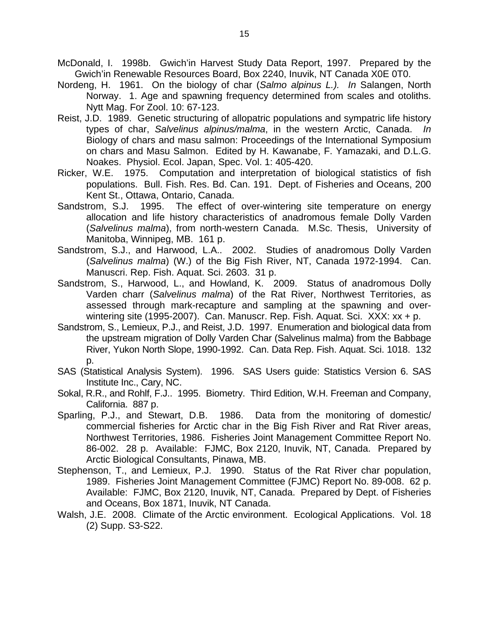McDonald, I. 1998b. Gwich'in Harvest Study Data Report, 1997. Prepared by the Gwich'in Renewable Resources Board, Box 2240, Inuvik, NT Canada X0E 0T0.

- Nordeng, H. 1961. On the biology of char (*Salmo alpinus L.). In* Salangen, North Norway. 1. Age and spawning frequency determined from scales and otoliths. Nytt Mag. For Zool. 10: 67-123.
- Reist, J.D. 1989. Genetic structuring of allopatric populations and sympatric life history types of char, Salvelinus alpinus/malma, in the western Arctic, Canada. Biology of chars and masu salmon: Proceedings of the International Symposium on chars and Masu Salmon. Edited by H. Kawanabe, F. Yamazaki, and D.L.G. Noakes. Physiol. Ecol. Japan, Spec. Vol. 1: 405-420.
- Ricker, W.E. 1975. Computation and interpretation of biological statistics of fish populations. Bull. Fish. Res. Bd. Can. 191. Dept. of Fisheries and Oceans, 200 Kent St., Ottawa, Ontario, Canada.
- Sandstrom, S.J. 1995. The effect of over-wintering site temperature on energy allocation and life history characteristics of anadromous female Dolly Varden (*Salvelinus malma*), from north-western Canada. M.Sc. Thesis, University of Manitoba, Winnipeg, MB. 161 p.
- Sandstrom, S.J., and Harwood, L.A.. 2002. Studies of anadromous Dolly Varden (*Salvelinus malma*) (W.) of the Big Fish River, NT, Canada 1972-1994. Can. Manuscri. Rep. Fish. Aquat. Sci. 2603. 31 p.
- Sandstrom, S., Harwood, L., and Howland, K. 2009. Status of anadromous Dolly Varden charr (*Salvelinus malma*) of the Rat River, Northwest Territories, as assessed through mark-recapture and sampling at the spawning and overwintering site (1995-2007). Can. Manuscr. Rep. Fish. Aquat. Sci. XXX: xx + p.
- Sandstrom, S., Lemieux, P.J., and Reist, J.D. 1997. Enumeration and biological data from the upstream migration of Dolly Varden Char (Salvelinus malma) from the Babbage River, Yukon North Slope, 1990-1992. Can. Data Rep. Fish. Aquat. Sci. 1018. 132 p.
- SAS (Statistical Analysis System). 1996. SAS Users guide: Statistics Version 6. SAS Institute Inc., Cary, NC.
- Sokal, R.R., and Rohlf, F.J.. 1995. Biometry. Third Edition, W.H. Freeman and Company, California. 887 p.
- Sparling, P.J., and Stewart, D.B. 1986. Data from the monitoring of domestic/ commercial fisheries for Arctic char in the Big Fish River and Rat River areas, Northwest Territories, 1986. Fisheries Joint Management Committee Report No. 86-002. 28 p. Available: FJMC, Box 2120, Inuvik, NT, Canada. Prepared by Arctic Biological Consultants, Pinawa, MB.
- Stephenson, T., and Lemieux, P.J. 1990. Status of the Rat River char population, 1989. Fisheries Joint Management Committee (FJMC) Report No. 89-008. 62 p. Available: FJMC, Box 2120, Inuvik, NT, Canada. Prepared by Dept. of Fisheries and Oceans, Box 1871, Inuvik, NT Canada.
- Walsh, J.E. 2008. Climate of the Arctic environment. Ecological Applications. Vol. 18 (2) Supp. S3-S22.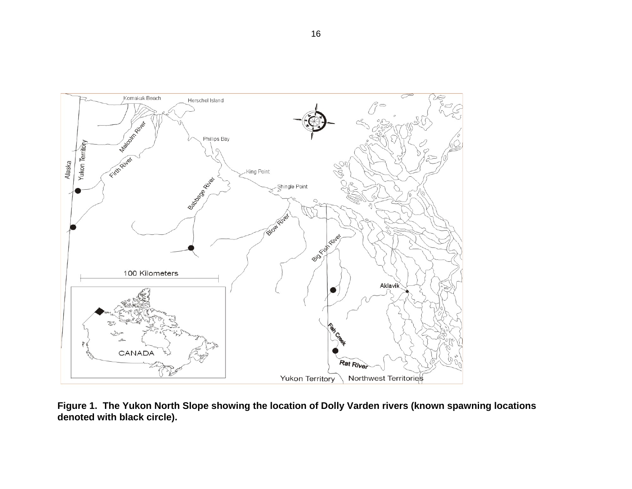

**Figure 1. The Yukon North Slope showing the location of Dolly Varden rivers (known spawning locations denoted with black circle).**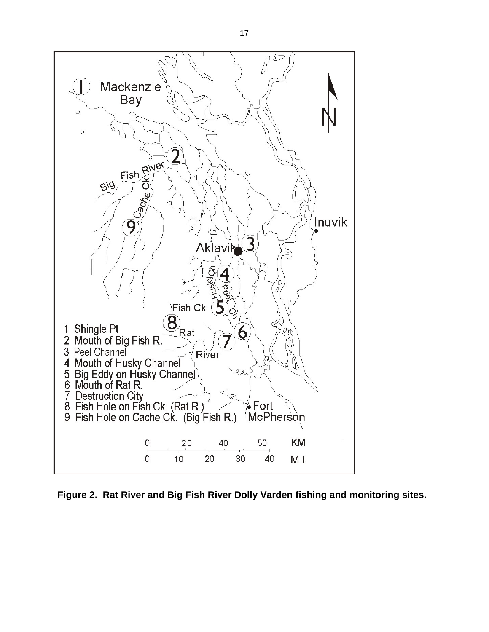

**Figure 2. Rat River and Big Fish River Dolly Varden fishing and monitoring sites.**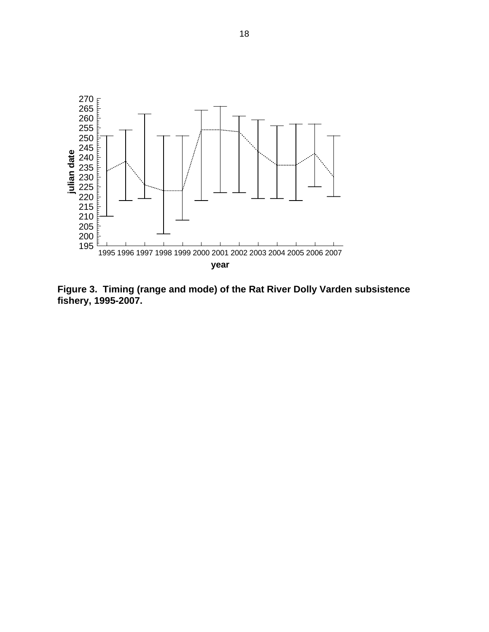

**Figure 3. Timing (range and mode) of the Rat River Dolly Varden subsistence fishery, 1995-2007.**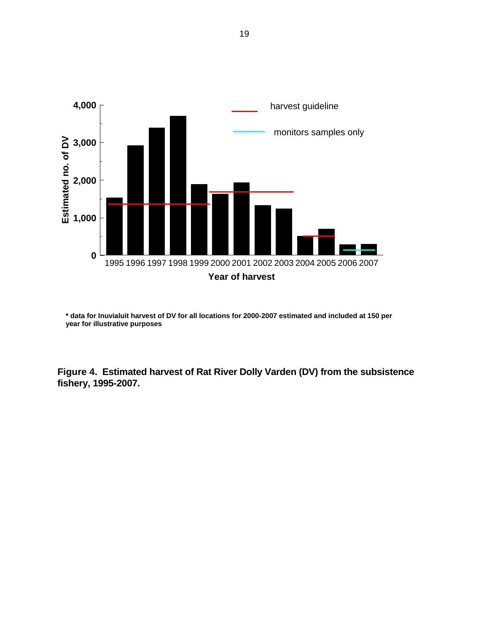

**\* data for Inuvialuit harvest of DV for all locations for 2000-2007 estimated and included at 150 per year for illustrative purposes**

**Figure 4. Estimated harvest of Rat River Dolly Varden (DV) from the subsistence fishery, 1995-2007.**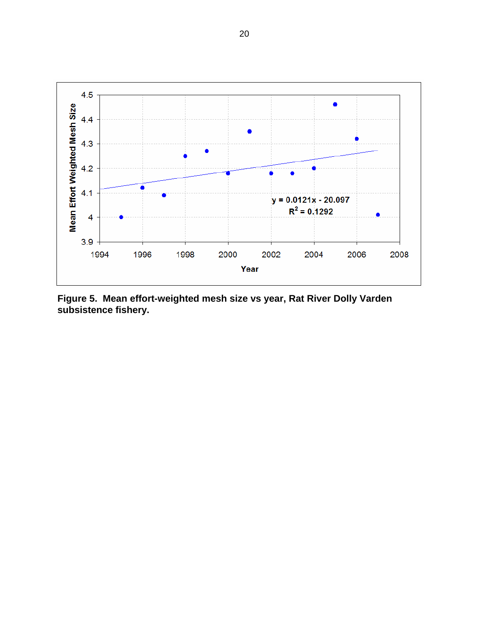

**Figure 5. Mean effort-weighted mesh size vs year, Rat River Dolly Varden subsistence fishery.**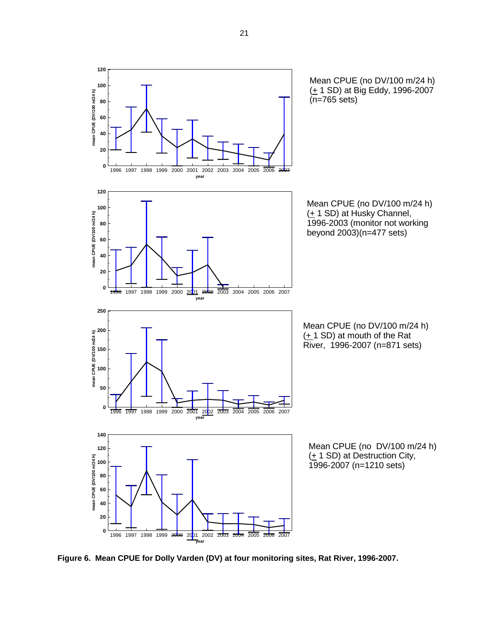

**Figure 6. Mean CPUE for Dolly Varden (DV) at four monitoring sites, Rat River, 1996-2007.**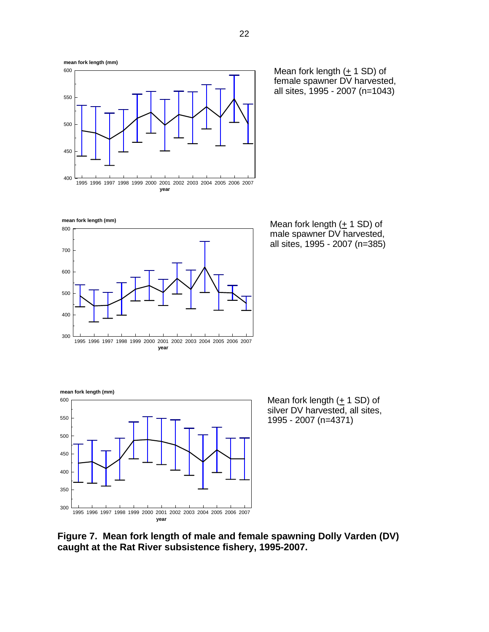



Mean fork length  $(± 1 SD)$  of female spawner DV harvested, all sites, 1995 - 2007 (n=1043)

1995 1996 1997 1998 1999 2000 2001 2002 2003 2004 2005 2006 2007 300  $400$ 500 600 700 800 **year mean fork length (mm)**

Mean fork length (+ 1 SD) of male spawner DV harvested, all sites, 1995 - 2007 (n=385)



Mean fork length  $(± 1 SD)$  of silver DV harvested, all sites, 1995 - 2007 (n=4371)

**Figure 7. Mean fork length of male and female spawning Dolly Varden (DV) caught at the Rat River subsistence fishery, 1995-2007.**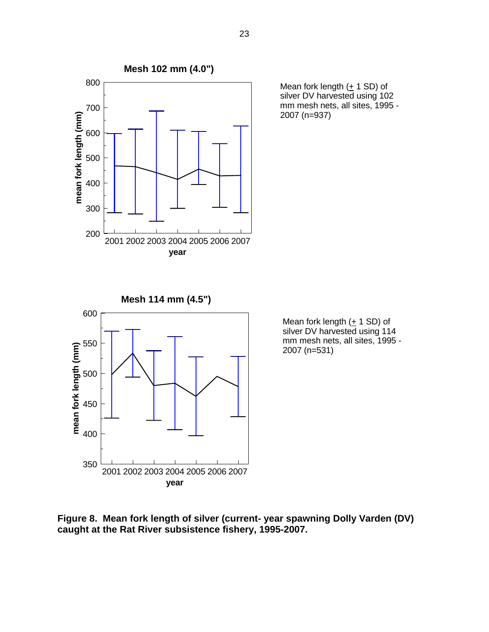

Mean fork length  $(± 1 SD)$  of silver DV harvested using 102 mm mesh nets, all sites, 1995 - 2007 (n=937)

Mean fork length  $(+ 1$  SD) of  $s$ ilver DV harvested using 114 mm mesh nets, all sites, 1995 - 2007 (n=531)

**Figure 8. Mean fork length of silver (current- year spawning Dolly Varden (DV) caught at the Rat River subsistence fishery, 1995-2007.**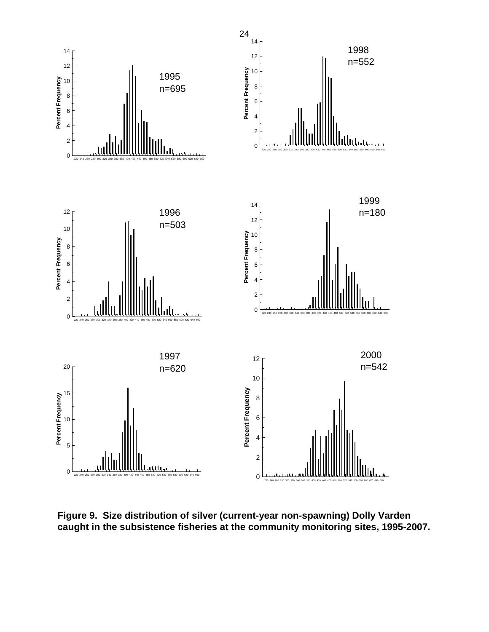

**Figure 9. Size distribution of silver (current-year non-spawning) Dolly Varden caught in the subsistence fisheries at the community monitoring sites, 1995-2007.**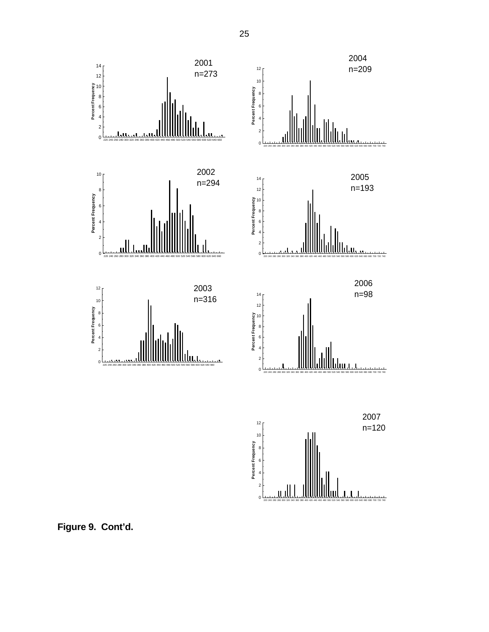

**Figure 9. Cont'd.**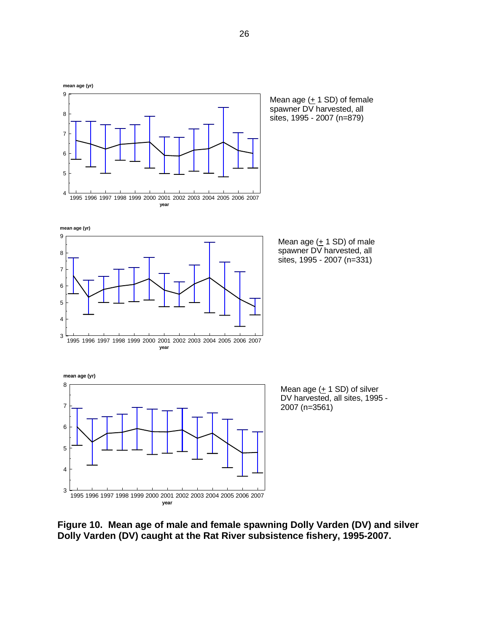

Mean age  $(± 1 SD)$  of female spawner DV harvested, all sites, 1995 - 2007 (n=879)



Mean age  $(± 1 SD)$  of male spawner DV harvested, all sites, 1995 - 2007 (n=331)



**Figure 10. Mean age of male and female spawning Dolly Varden (DV) and silver Dolly Varden (DV) caught at the Rat River subsistence fishery, 1995-2007.**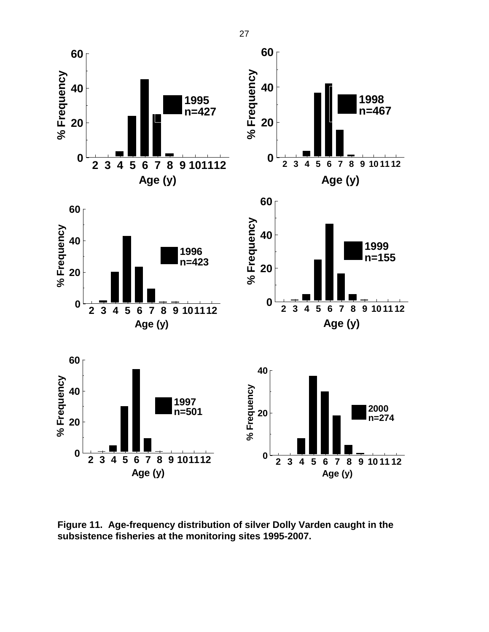

**Figure 11. Age-frequency distribution of silver Dolly Varden caught in the subsistence fisheries at the monitoring sites 1995-2007.** 

27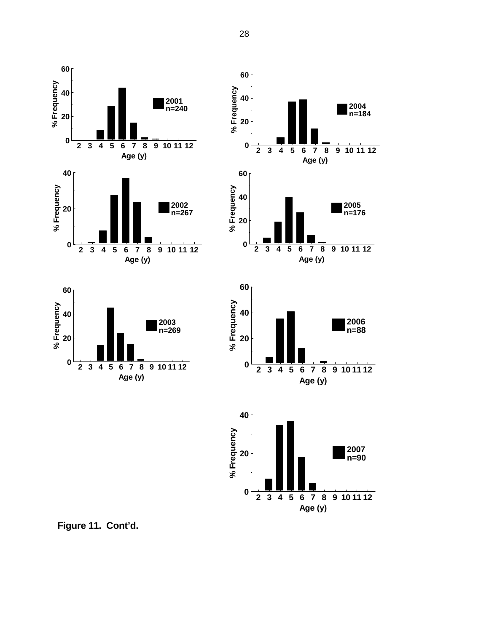











**Figure 11. Cont'd.**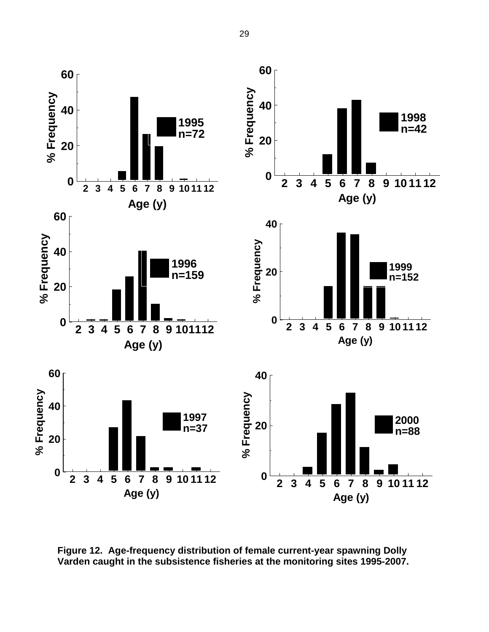

**Figure 12. Age-frequency distribution of female current-year spawning Dolly Varden caught in the subsistence fisheries at the monitoring sites 1995-2007.**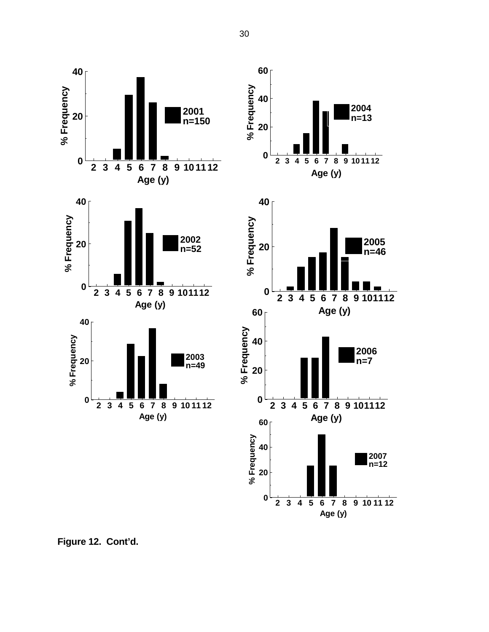







**Figure 12. Cont'd.**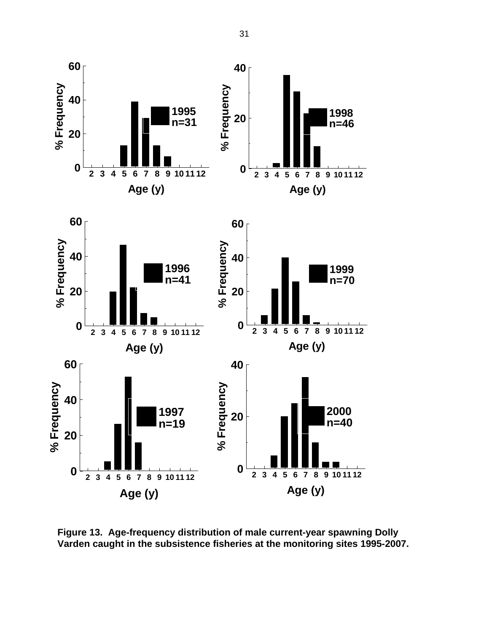

**Figure 13. Age-frequency distribution of male current-year spawning Dolly Varden caught in the subsistence fisheries at the monitoring sites 1995-2007.**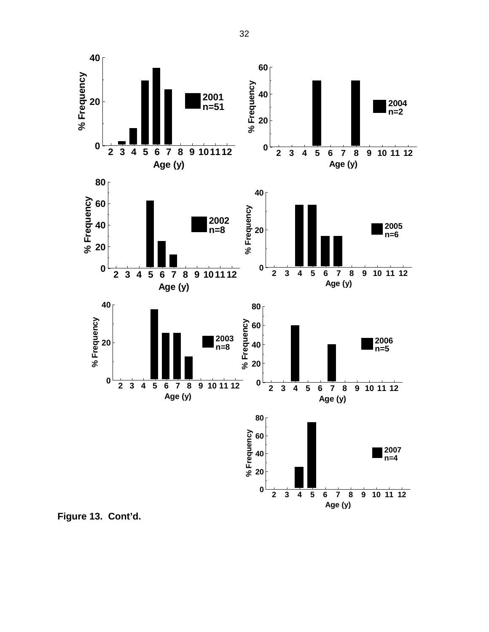

**Figure 13. Cont'd.**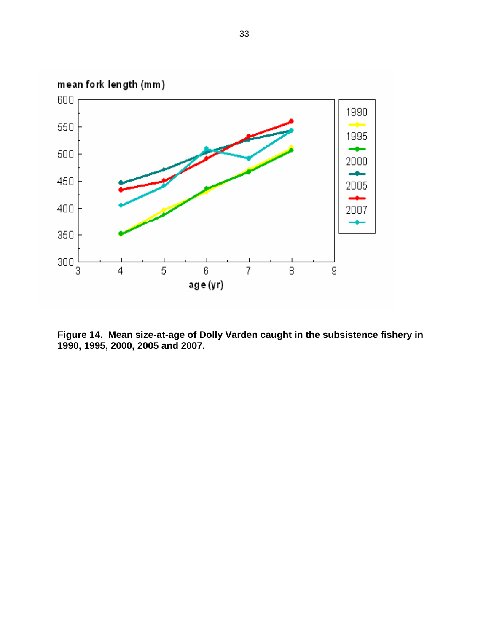

**Figure 14. Mean size-at-age of Dolly Varden caught in the subsistence fishery in 1990, 1995, 2000, 2005 and 2007.**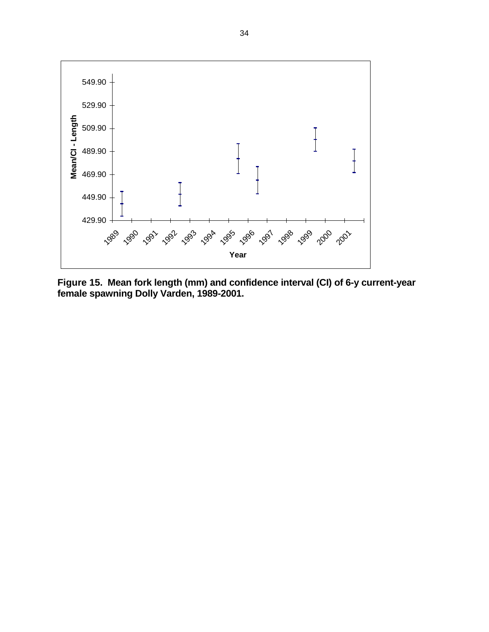

**Figure 15. Mean fork length (mm) and confidence interval (CI) of 6-y current-year female spawning Dolly Varden, 1989-2001.**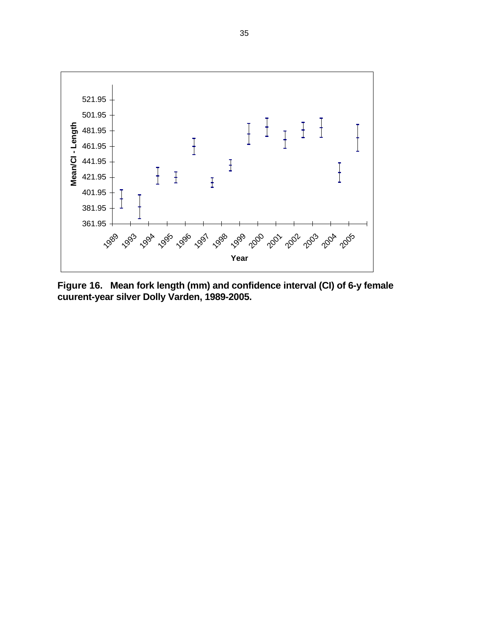

**Figure 16. Mean fork length (mm) and confidence interval (CI) of 6-y female cuurent-year silver Dolly Varden, 1989-2005.**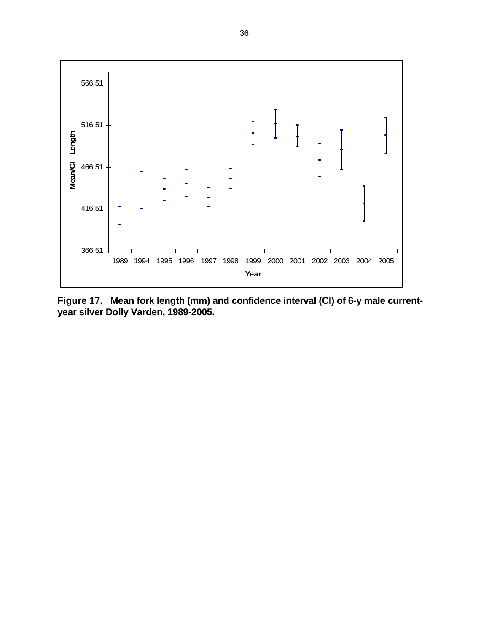

**Figure 17. Mean fork length (mm) and confidence interval (CI) of 6-y male currentyear silver Dolly Varden, 1989-2005.**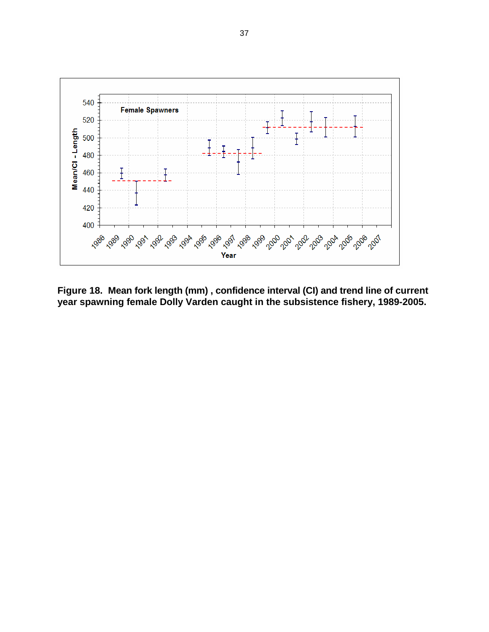

**Figure 18. Mean fork length (mm) , confidence interval (CI) and trend line of current year spawning female Dolly Varden caught in the subsistence fishery, 1989-2005.**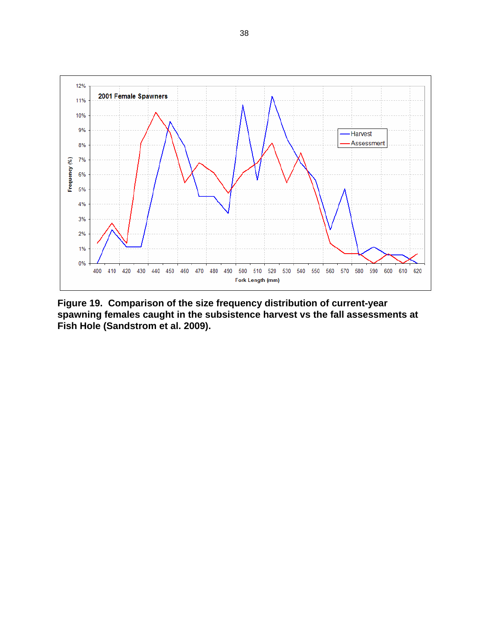

**Figure 19. Comparison of the size frequency distribution of current-year spawning females caught in the subsistence harvest vs the fall assessments at Fish Hole (Sandstrom et al. 2009).**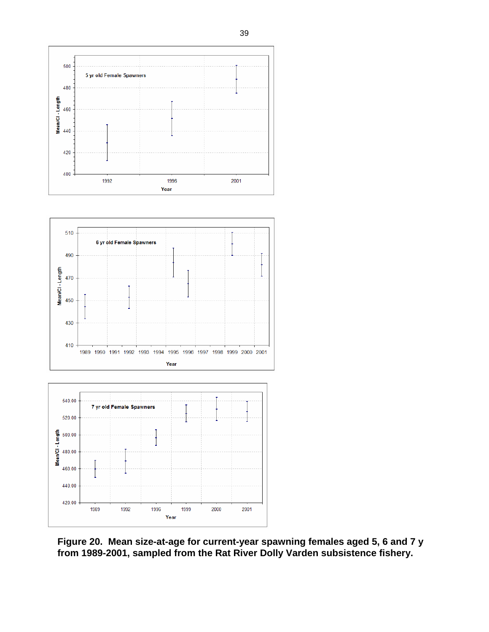



Year

**Figure 20. Mean size-at-age for current-year spawning females aged 5, 6 and 7 y from 1989-2001, sampled from the Rat River Dolly Varden subsistence fishery.**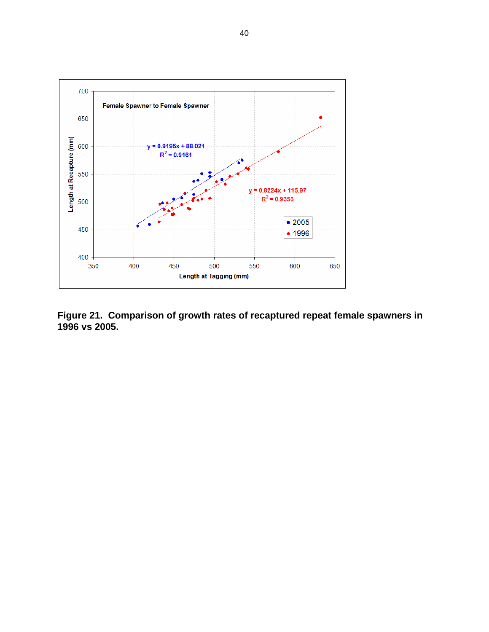

**Figure 21. Comparison of growth rates of recaptured repeat female spawners in 1996 vs 2005.**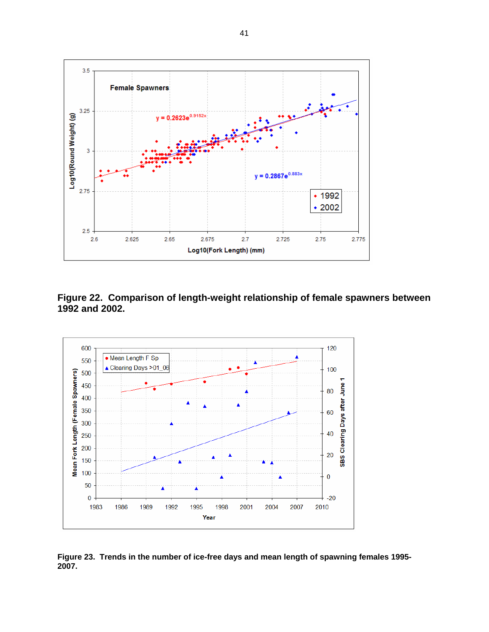

**Figure 22. Comparison of length-weight relationship of female spawners between 1992 and 2002.** 



**Figure 23. Trends in the number of ice-free days and mean length of spawning females 1995- 2007.**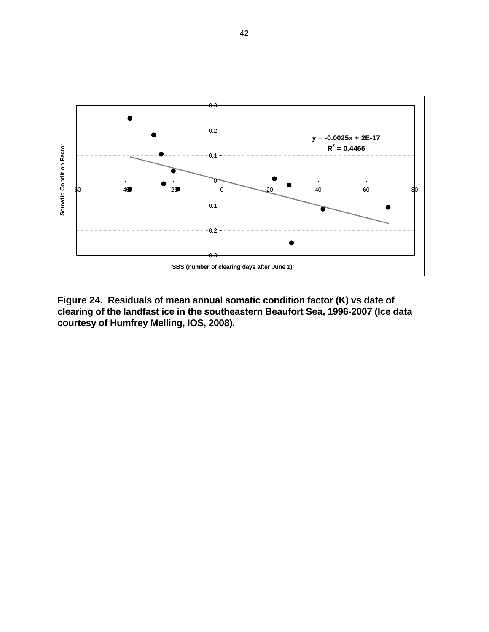

**Figure 24. Residuals of mean annual somatic condition factor (K) vs date of clearing of the landfast ice in the southeastern Beaufort Sea, 1996-2007 (Ice data courtesy of Humfrey Melling, IOS, 2008).**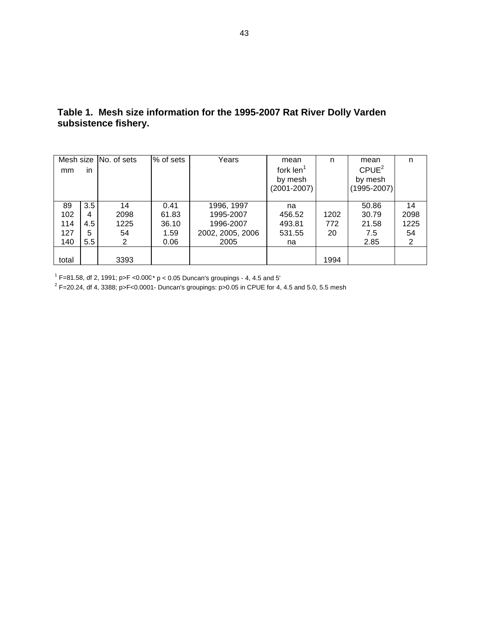|       |     | Mesh size No. of sets | % of sets | Years            | mean            | n    | mean              | n              |
|-------|-----|-----------------------|-----------|------------------|-----------------|------|-------------------|----------------|
| mm    | in  |                       |           |                  | fork $len1$     |      | CPUE <sup>2</sup> |                |
|       |     |                       |           |                  | by mesh         |      | by mesh           |                |
|       |     |                       |           |                  | $(2001 - 2007)$ |      | (1995-2007)       |                |
|       |     |                       |           |                  |                 |      |                   |                |
| 89    | 3.5 | 14                    | 0.41      | 1996, 1997       | na              |      | 50.86             | 14             |
| 102   | 4   | 2098                  | 61.83     | 1995-2007        | 456.52          | 1202 | 30.79             | 2098           |
| 114   | 4.5 | 1225                  | 36.10     | 1996-2007        | 493.81          | 772  | 21.58             | 1225           |
| 127   | 5   | 54                    | 1.59      | 2002, 2005, 2006 | 531.55          | 20   | 7.5               | 54             |
| 140   | 5.5 | $\overline{2}$        | 0.06      | 2005             | na              |      | 2.85              | $\overline{2}$ |
|       |     |                       |           |                  |                 |      |                   |                |
| total |     | 3393                  |           |                  |                 | 1994 |                   |                |

## **Table 1. Mesh size information for the 1995-2007 Rat River Dolly Varden subsistence fishery.**

 $^1$  F=81.58, df 2, 1991; p>F <0.000\* p < 0.05 Duncan's groupings - 4, 4.5 and 5'<br><sup>2</sup> F=20.24, df 4, 3388; p>F<0.0001- Duncan's groupings: p>0.05 in CPUE for 4, 4.5 and 5.0, 5.5 mesh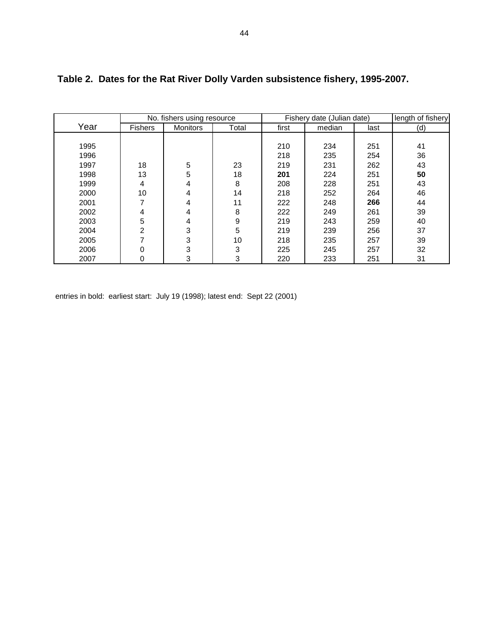|      |                | No. fishers using resource |       |       | Fishery date (Julian date) |      | length of fishery |
|------|----------------|----------------------------|-------|-------|----------------------------|------|-------------------|
| Year | <b>Fishers</b> | <b>Monitors</b>            | Total | first | median                     | last | (d)               |
|      |                |                            |       |       |                            |      |                   |
| 1995 |                |                            |       | 210   | 234                        | 251  | 41                |
| 1996 |                |                            |       | 218   | 235                        | 254  | 36                |
| 1997 | 18             | 5                          | 23    | 219   | 231                        | 262  | 43                |
| 1998 | 13             | 5                          | 18    | 201   | 224                        | 251  | 50                |
| 1999 | 4              | 4                          | 8     | 208   | 228                        | 251  | 43                |
| 2000 | 10             | 4                          | 14    | 218   | 252                        | 264  | 46                |
| 2001 |                | 4                          | 11    | 222   | 248                        | 266  | 44                |
| 2002 | 4              | 4                          | 8     | 222   | 249                        | 261  | 39                |
| 2003 | 5              | 4                          | 9     | 219   | 243                        | 259  | 40                |
| 2004 | 2              | 3                          | 5     | 219   | 239                        | 256  | 37                |
| 2005 |                | 3                          | 10    | 218   | 235                        | 257  | 39                |
| 2006 | 0              | 3                          | 3     | 225   | 245                        | 257  | 32                |
| 2007 | 0              | 3                          | 3     | 220   | 233                        | 251  | 31                |

## **Table 2. Dates for the Rat River Dolly Varden subsistence fishery, 1995-2007.**

entries in bold: earliest start: July 19 (1998); latest end: Sept 22 (2001)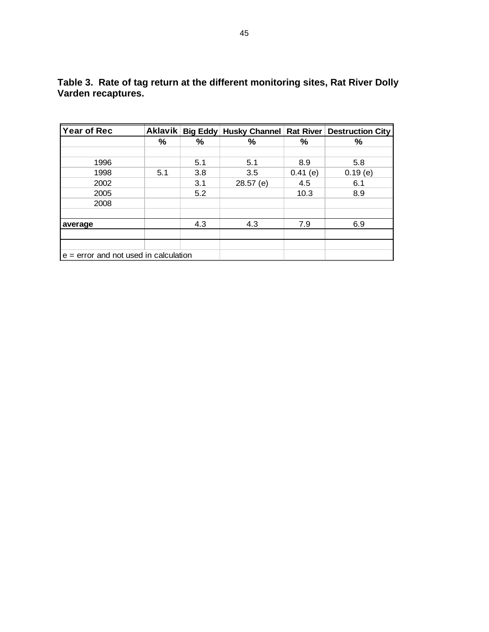| Year of Rec                             |     |     | Aklavik   Big Eddy   Husky Channel   Rat River |            | <b>Destruction City</b> |
|-----------------------------------------|-----|-----|------------------------------------------------|------------|-------------------------|
|                                         | %   | ℅   | $\%$                                           | ℅          | %                       |
|                                         |     |     |                                                |            |                         |
| 1996                                    |     | 5.1 | 5.1                                            | 8.9        | 5.8                     |
| 1998                                    | 5.1 | 3.8 | 3.5                                            | $0.41$ (e) | 0.19(e)                 |
| 2002                                    |     | 3.1 | $28.57$ (e)                                    | 4.5        | 6.1                     |
| 2005                                    |     | 5.2 |                                                | 10.3       | 8.9                     |
| 2008                                    |     |     |                                                |            |                         |
|                                         |     |     |                                                |            |                         |
| average                                 |     | 4.3 | 4.3                                            | 7.9        | 6.9                     |
|                                         |     |     |                                                |            |                         |
|                                         |     |     |                                                |            |                         |
| $e =$ error and not used in calculation |     |     |                                                |            |                         |

**Table 3. Rate of tag return at the different monitoring sites, Rat River Dolly Varden recaptures.**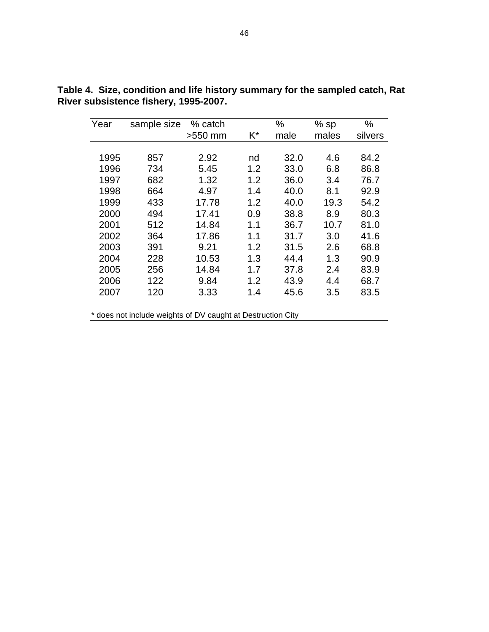| Year | sample size | % catch |     | %    | $%$ sp | %       |
|------|-------------|---------|-----|------|--------|---------|
|      |             | >550 mm | K*  | male | males  | silvers |
|      |             |         |     |      |        |         |
| 1995 | 857         | 2.92    | nd  | 32.0 | 4.6    | 84.2    |
| 1996 | 734         | 5.45    | 1.2 | 33.0 | 6.8    | 86.8    |
| 1997 | 682         | 1.32    | 1.2 | 36.0 | 3.4    | 76.7    |
| 1998 | 664         | 4.97    | 1.4 | 40.0 | 8.1    | 92.9    |
| 1999 | 433         | 17.78   | 1.2 | 40.0 | 19.3   | 54.2    |
| 2000 | 494         | 17.41   | 0.9 | 38.8 | 8.9    | 80.3    |
| 2001 | 512         | 14.84   | 1.1 | 36.7 | 10.7   | 81.0    |
| 2002 | 364         | 17.86   | 1.1 | 31.7 | 3.0    | 41.6    |
| 2003 | 391         | 9.21    | 1.2 | 31.5 | 2.6    | 68.8    |
| 2004 | 228         | 10.53   | 1.3 | 44.4 | 1.3    | 90.9    |
| 2005 | 256         | 14.84   | 1.7 | 37.8 | 2.4    | 83.9    |
| 2006 | 122         | 9.84    | 1.2 | 43.9 | 4.4    | 68.7    |
| 2007 | 120         | 3.33    | 1.4 | 45.6 | 3.5    | 83.5    |

**Table 4. Size, condition and life history summary for the sampled catch, Rat River subsistence fishery, 1995-2007.** 

\* does not include weights of DV caught at Destruction City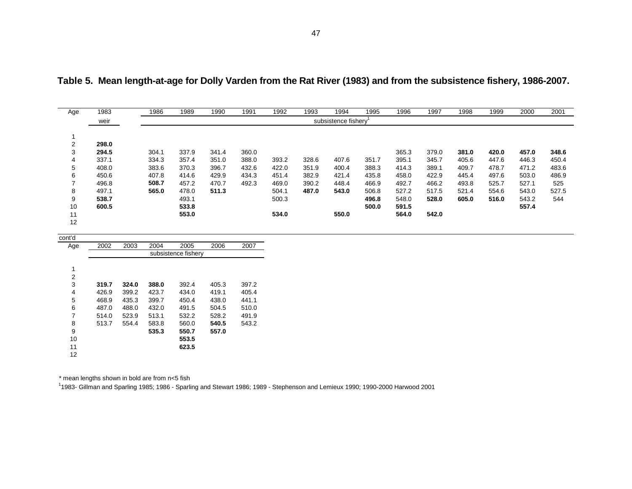| Age            | 1983  | 1986  | 1989  | 1990  | 1991  | 1992  | 1993  | 1994                | 1995  | 1996  | 1997  | 1998  | 1999  | 2000  | 2001  |
|----------------|-------|-------|-------|-------|-------|-------|-------|---------------------|-------|-------|-------|-------|-------|-------|-------|
|                | weir  |       |       |       |       |       |       | subsistence fishery |       |       |       |       |       |       |       |
|                |       |       |       |       |       |       |       |                     |       |       |       |       |       |       |       |
|                |       |       |       |       |       |       |       |                     |       |       |       |       |       |       |       |
| $\overline{2}$ | 298.0 |       |       |       |       |       |       |                     |       |       |       |       |       |       |       |
| 3              | 294.5 | 304.1 | 337.9 | 341.4 | 360.0 |       |       |                     |       | 365.3 | 379.0 | 381.0 | 420.0 | 457.0 | 348.6 |
| 4              | 337.1 | 334.3 | 357.4 | 351.0 | 388.0 | 393.2 | 328.6 | 407.6               | 351.7 | 395.1 | 345.7 | 405.6 | 447.6 | 446.3 | 450.4 |
| 5              | 408.0 | 383.6 | 370.3 | 396.7 | 432.6 | 422.0 | 351.9 | 400.4               | 388.3 | 414.3 | 389.1 | 409.7 | 478.7 | 471.2 | 483.6 |
| 6              | 450.6 | 407.8 | 414.6 | 429.9 | 434.3 | 451.4 | 382.9 | 421.4               | 435.8 | 458.0 | 422.9 | 445.4 | 497.6 | 503.0 | 486.9 |
| $\overline{ }$ | 496.8 | 508.7 | 457.2 | 470.7 | 492.3 | 469.0 | 390.2 | 448.4               | 466.9 | 492.7 | 466.2 | 493.8 | 525.7 | 527.1 | 525   |
| 8              | 497.1 | 565.0 | 478.0 | 511.3 |       | 504.1 | 487.0 | 543.0               | 506.8 | 527.2 | 517.5 | 521.4 | 554.6 | 543.0 | 527.5 |
| 9              | 538.7 |       | 493.1 |       |       | 500.3 |       |                     | 496.8 | 548.0 | 528.0 | 605.0 | 516.0 | 543.2 | 544   |
| 10             | 600.5 |       | 533.8 |       |       |       |       |                     | 500.0 | 591.5 |       |       |       | 557.4 |       |
| 11             |       |       | 553.0 |       |       | 534.0 |       | 550.0               |       | 564.0 | 542.0 |       |       |       |       |
| 12             |       |       |       |       |       |       |       |                     |       |       |       |       |       |       |       |
|                |       |       |       |       |       |       |       |                     |       |       |       |       |       |       |       |

**Table 5. Mean length-at-age for Dolly Varden from the Rat River (1983) and from the subsistence fishery, 1986-2007.** 

| cont'd |                     |       |       |       |       |       |  |  |  |  |
|--------|---------------------|-------|-------|-------|-------|-------|--|--|--|--|
| Age    | 2002                | 2003  | 2004  | 2005  | 2006  | 2007  |  |  |  |  |
|        | subsistence fisherv |       |       |       |       |       |  |  |  |  |
|        |                     |       |       |       |       |       |  |  |  |  |
| 1      |                     |       |       |       |       |       |  |  |  |  |
| 2      |                     |       |       |       |       |       |  |  |  |  |
| 3      | 319.7               | 324.0 | 388.0 | 392.4 | 405.3 | 397.2 |  |  |  |  |
| 4      | 426.9               | 399.2 | 423.7 | 434.0 | 419.1 | 405.4 |  |  |  |  |
| 5      | 468.9               | 435.3 | 399.7 | 450.4 | 438.0 | 441.1 |  |  |  |  |
| 6      | 487.0               | 488.0 | 432.0 | 491.5 | 504.5 | 510.0 |  |  |  |  |
| 7      | 514.0               | 523.9 | 513.1 | 532.2 | 528.2 | 491.9 |  |  |  |  |
| 8      | 513.7               | 554.4 | 583.8 | 560.0 | 540.5 | 543.2 |  |  |  |  |
| 9      |                     |       | 535.3 | 550.7 | 557.0 |       |  |  |  |  |
| 10     |                     |       |       | 553.5 |       |       |  |  |  |  |
| 11     |                     |       |       | 623.5 |       |       |  |  |  |  |
| 12     |                     |       |       |       |       |       |  |  |  |  |

\* mean lengths shown in bold are from n<5 fish

11983- Gillman and Sparling 1985; 1986 - Sparling and Stewart 1986; 1989 - Stephenson and Lemieux 1990; 1990-2000 Harwood 2001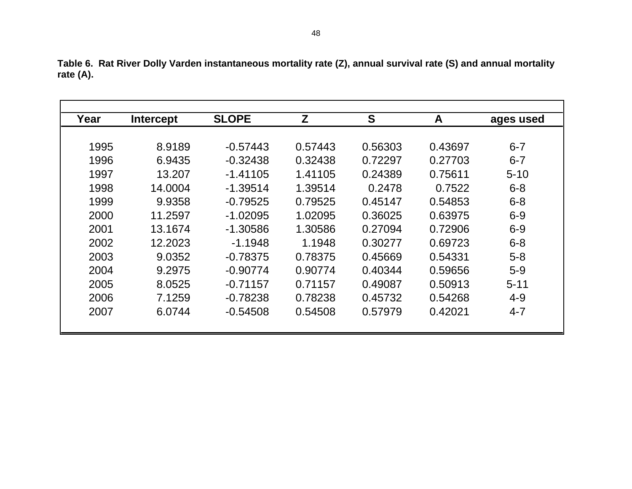| Year | <b>Intercept</b> | <b>SLOPE</b> | Z       | S       | A       | ages used |
|------|------------------|--------------|---------|---------|---------|-----------|
|      |                  |              |         |         |         |           |
| 1995 | 8.9189           | $-0.57443$   | 0.57443 | 0.56303 | 0.43697 | $6 - 7$   |
| 1996 | 6.9435           | $-0.32438$   | 0.32438 | 0.72297 | 0.27703 | $6 - 7$   |
| 1997 | 13.207           | $-1.41105$   | 1.41105 | 0.24389 | 0.75611 | $5 - 10$  |
| 1998 | 14.0004          | $-1.39514$   | 1.39514 | 0.2478  | 0.7522  | $6 - 8$   |
| 1999 | 9.9358           | $-0.79525$   | 0.79525 | 0.45147 | 0.54853 | $6 - 8$   |
| 2000 | 11.2597          | $-1.02095$   | 1.02095 | 0.36025 | 0.63975 | $6 - 9$   |
| 2001 | 13.1674          | $-1.30586$   | 1.30586 | 0.27094 | 0.72906 | $6 - 9$   |
| 2002 | 12.2023          | $-1.1948$    | 1.1948  | 0.30277 | 0.69723 | $6 - 8$   |
| 2003 | 9.0352           | $-0.78375$   | 0.78375 | 0.45669 | 0.54331 | $5-8$     |
| 2004 | 9.2975           | $-0.90774$   | 0.90774 | 0.40344 | 0.59656 | $5-9$     |
| 2005 | 8.0525           | $-0.71157$   | 0.71157 | 0.49087 | 0.50913 | $5 - 11$  |
| 2006 | 7.1259           | $-0.78238$   | 0.78238 | 0.45732 | 0.54268 | $4 - 9$   |
| 2007 | 6.0744           | $-0.54508$   | 0.54508 | 0.57979 | 0.42021 | 4-7       |

**Table 6. Rat River Dolly Varden instantaneous mortality rate (Z), annual survival rate (S) and annual mortality rate (A).**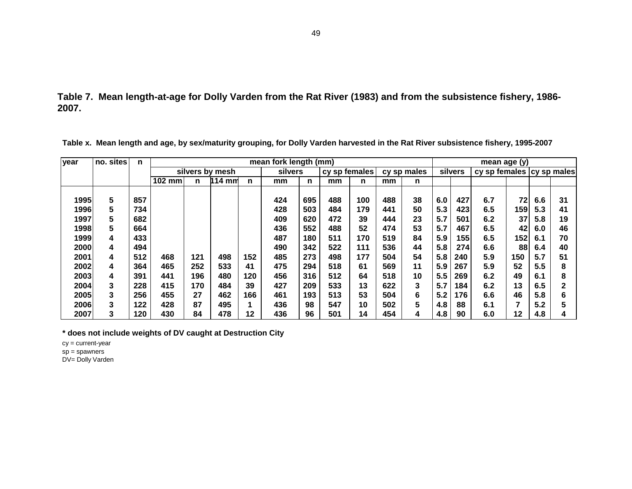**Table 7. Mean length-at-age for Dolly Varden from the Rat River (1983) and from the subsistence fishery, 1986- 2007.** 

| lyear | no. sites | n   |          | mean fork length (mm) |                  |     |         |     |               |     |     |             |     |         | mean age (y)                |                |     |    |
|-------|-----------|-----|----------|-----------------------|------------------|-----|---------|-----|---------------|-----|-----|-------------|-----|---------|-----------------------------|----------------|-----|----|
|       |           |     |          |                       | silvers by mesh  |     | silvers |     | cy sp females |     |     | cy sp males |     | silvers | cy sp females (cy sp males) |                |     |    |
|       |           |     | $102$ mm | n                     | $114 \text{ mm}$ | n   | mm      | n   | mm            | n   | mm  | n           |     |         |                             |                |     |    |
|       |           |     |          |                       |                  |     |         |     |               |     |     |             |     |         |                             |                |     |    |
| 1995  | 5         | 857 |          |                       |                  |     | 424     | 695 | 488           | 100 | 488 | 38          | 6.0 | 427     | 6.7                         | 72             | 6.6 | 31 |
| 1996  | 5         | 734 |          |                       |                  |     | 428     | 503 | 484           | 179 | 441 | 50          | 5.3 | 423     | 6.5                         | 1591           | 5.3 | 41 |
| 1997  | 5         | 682 |          |                       |                  |     | 409     | 620 | 472           | 39  | 444 | 23          | 5.7 | 501     | 6.2                         | 37             | 5.8 | 19 |
| 1998  | 5         | 664 |          |                       |                  |     | 436     | 552 | 488           | 52  | 474 | 53          | 5.7 | 467     | 6.5                         | 42             | 6.0 | 46 |
| 1999  | 4         | 433 |          |                       |                  |     | 487     | 180 | 511           | 170 | 519 | 84          | 5.9 | 155     | 6.5                         | 152            | 6.1 | 70 |
| 2000  | 4         | 494 |          |                       |                  |     | 490     | 342 | 522           | 111 | 536 | 44          | 5.8 | 274     | 6.6                         | 88             | 6.4 | 40 |
| 2001  | 4         | 512 | 468      | 121                   | 498              | 152 | 485     | 273 | 498           | 177 | 504 | 54          | 5.8 | 240     | 5.9                         | 150            | 5.7 | 51 |
| 2002  | 4         | 364 | 465      | 252                   | 533              | 41  | 475     | 294 | 518           | 61  | 569 | 11          | 5.9 | 267     | 5.9                         | 52             | 5.5 | 8  |
| 2003  | 4         | 391 | 441      | 196                   | 480              | 120 | 456     | 316 | 512           | 64  | 518 | 10          | 5.5 | 269     | 6.2                         | 49             | 6.1 | 8  |
| 2004  | 3         | 228 | 415      | 170                   | 484              | 39  | 427     | 209 | 533           | 13  | 622 | 3           | 5.7 | 184     | 6.2                         | 13             | 6.5 |    |
| 2005  | 3         | 256 | 455      | 27                    | 462              | 166 | 461     | 193 | 513           | 53  | 504 | 6           | 5.2 | 176     | 6.6                         | 46             | 5.8 | 6  |
| 2006  | 3         | 122 | 428      | 87                    | 495              |     | 436     | 98  | 547           | 10  | 502 | 5           | 4.8 | 88      | 6.1                         | $\overline{7}$ | 5.2 |    |
| 2007  | 3         | 120 | 430      | 84                    | 478              | 12  | 436     | 96  | 501           | 14  | 454 | 4           | 4.8 | 90      | 6.0                         | 12             | 4.8 |    |

**Table x. Mean length and age, by sex/maturity grouping, for Dolly Varden harvested in the Rat River subsistence fishery, 1995-2007**

**\* does not include weights of DV caught at Destruction City**

cy = current-year

 $sp = spawners$ 

DV= Dolly Varden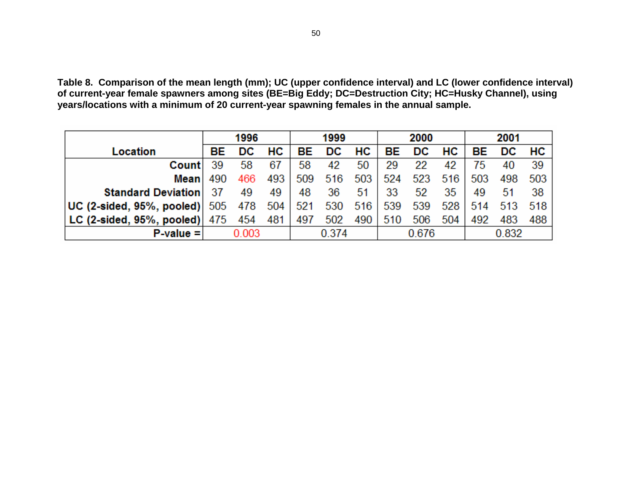**Table 8. Comparison of the mean length (mm); UC (upper confidence interval) and LC (lower confidence interval) of current-year female spawners among sites (BE=Big Eddy; DC=Destruction City; HC=Husky Channel), using years/locations with a minimum of 20 current-year spawning females in the annual sample.** 

|                                       |     | 1996  |     |       | 1999 |     |     | 2000  |     | 2001  |       |     |
|---------------------------------------|-----|-------|-----|-------|------|-----|-----|-------|-----|-------|-------|-----|
| Location                              | BE  | DC    | HC. | BE.   | DC   | HC  | BE  | DC.   | HC. | BE.   | DC.   | HC. |
| <b>Count</b>                          | 39  | 58    | 67  | 58    | 42   | 50  | 29  | 22    | 42  | 75    | 40    | 39  |
| Meanl                                 | 490 | 466   | 493 | 509   | 516  | 503 | 524 | 523   | 516 | 503   | 498   | 503 |
| <b>Standard Deviation</b>             | 37  | 49    | 49  | 48    | 36   | -51 | 33  | 52    | 35  | 49    | 51    | 38  |
| $UC$ (2-sided, 95%, pooled) $505$ 478 |     |       | 504 | 521   | 530  | 516 | 539 | 539   | 528 | 514   | - 513 | 518 |
| LC (2-sided, 95%, pooled) $ 475 $     |     | 454   | 481 | 497   | 502  | 490 | 510 | 506   | 504 | 492   | 483   | 488 |
| $P-value =$                           |     | 0.003 |     | 0.374 |      |     |     | 0.676 |     | 0.832 |       |     |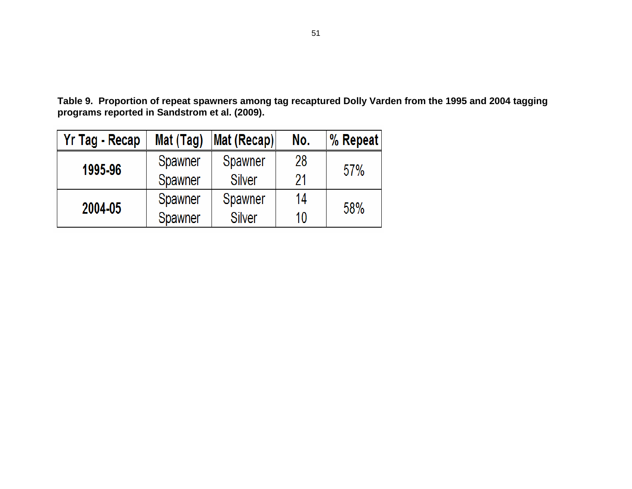**Table 9. Proportion of repeat spawners among tag recaptured Dolly Varden from the 1995 and 2004 tagging programs reported in Sandstrom et al. (2009).** 

| Yr Tag - Recap | Mat (Tag) | Mat (Recap)    | No. | % Repeat |  |
|----------------|-----------|----------------|-----|----------|--|
| 1995-96        | Spawner   | <b>Spawner</b> | 28  | 57%      |  |
|                | Spawner   | 21             |     |          |  |
| 2004-05        | Spawner   | Spawner        | 14  | 58%      |  |
|                | Spawner   | <b>Silver</b>  | 10  |          |  |